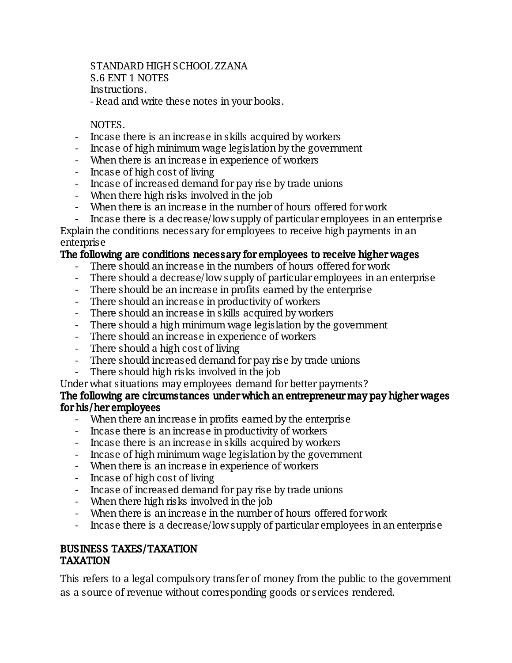STANDARD HIGH SCHOOL ZZANA S.6 ENT 1 NOTES Instructions. - Read and write these notes in your books.

#### NOTES.

- Incase there is an increase in skills acquired by workers
- Incase of high minimum wage legislation by the government
- When there is an increase in experience of workers
- Incase of high cost of living
- Incase of increased demand for pay rise by trade unions
- When there high risks involved in the job
- When there is an increase in the number of hours offered for work
- Incase there is a decrease/low supply of particular employees in an enterprise

Explain the conditions necessary for employees to receive high payments in an enterprise

#### The following are conditions necessary for employees to receive higher wages

- There should an increase in the numbers of hours offered for work
- There should a decrease/low supply of particular employees in an enterprise
- There should be an increase in profits earned by the enterprise
- There should an increase in productivity of workers
- There should an increase in skills acquired by workers
- There should a high minimum wage legislation by the government
- There should an increase in experience of workers
- There should a high cost of living
- There should increased demand for pay rise by trade unions
- There should high risks involved in the job
- Under what situations may employees demand for better payments?

#### The following are circumstances under which an entrepreneur may pay higher wages forhis/heremployees

- When there an increase in profits earned by the enterprise
- Incase there is an increase in productivity of workers
- Incase there is an increase in skills acquired by workers
- Incase of high minimum wage legislation by the government
- When there is an increase in experience of workers
- Incase of high cost of living
- Incase of increased demand for pay rise by tradeunions
- When there high risks involved in the job
- When there is an increase in the number of hours offered for work
- Incase there is a decrease/low supply of particular employees in an enterprise

#### BUSINESSTAXES/TAXATION TAXATION

This refers to a legal compulsory transfer of money from the public to the government as a source of revenue without corresponding goods or services rendered.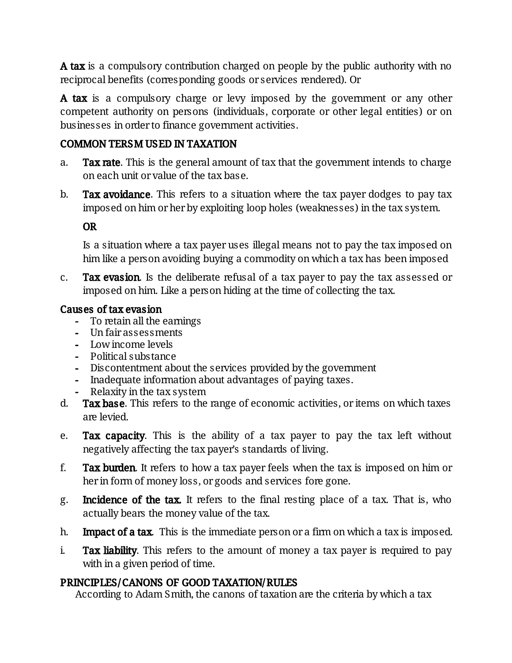A tax is a compulsory contribution charged on people by the public authority with no reciprocal benefits (corresponding goods or services rendered). Or

A tax is a compulsory charge or levy imposed by the government or any other competent authority on persons (individuals, corporate or other legal entities) or on businesses in order to finance government activities.

### COMMON TERSM USED IN TAXATION

- a. Tax rate. This is the general amount of tax that the government intends to charge on each unit or value of the tax base.
- b. Tax avoidance. This refers to a situation where the tax payer dodges to pay tax imposed on him or her by exploiting loop holes (weaknesses) in the tax system.

### OR

Is a situation where a tax payer uses illegal means not to pay the tax imposed on him like a person avoiding buying a commodity on which a tax has been imposed

c. Tax evasion. Is the deliberate refusal of a tax payer to pay the tax assessed or imposed on him. Like a person hiding at the time of collecting the tax.

#### Causes of tax evasion

- To retain all the earnings
- Un fair assessments
- Low income levels
- Political substance
- Discontentment about the services provided by the government
- Inadequate information about advantages of paying taxes.
- Relaxity in the tax system
- d. Tax base. This refers to the range of economic activities, or items on which taxes arelevied.
- e. **Tax capacity**. This is the ability of a tax payer to pay the tax left without negatively affecting the tax payer's standards of living.
- f. **Tax burden.** It refers to how a tax payer feels when the tax is imposed on him or her in form of money loss, or goods and services fore gone.
- g. Incidence of the tax. It refers to the final resting place of a tax. That is, who actually bears the money value of the tax.
- h. **Impact of a tax** This is the immediate person or a firm on which a tax is imposed.
- i. Tax liability. This refers to the amount of money a tax payer is required to pay with in a given period of time.

#### PRINCIPLES/CANONS OF GOOD TAXATION/RULES

According to Adam Smith, the canons of taxation are the criteria by which a tax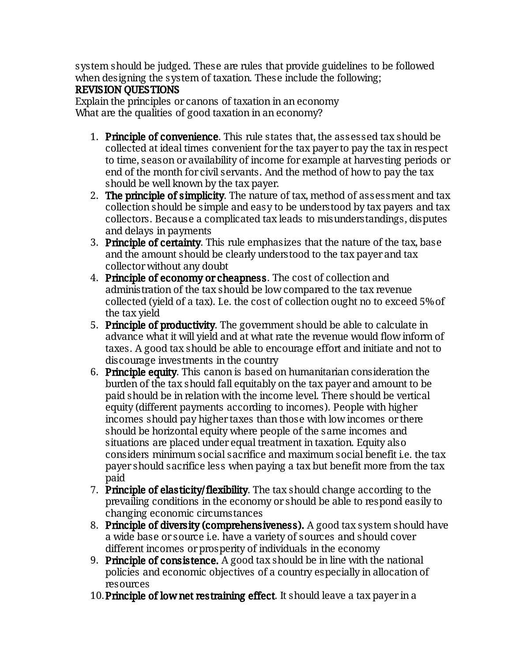system should be judged. These are rules that provide guidelines to be followed when designing the system of taxation. These include the following;

### REVISION OUESTIONS

Explain the principles or canons of taxation in an economy What are the qualities of good taxation in an economy?

- 1. Principle of convenience. This rule states that, the assessed tax should be collected at ideal times convenient for the tax payer to pay the tax in respect to time, season or availability of income for example at harvesting periods or end of the month for civil servants. And the method of how to pay the tax should be well known by the tax payer.
- 2. **The principle of simplicity**. The nature of tax, method of assessment and tax collection should be simple and easy to be understood by tax payers and tax collectors. Because a complicated tax leads to misunderstandings, disputes and delays in payments
- 3. Principle of certainty. This rule emphasizes that the nature of the tax, base and the amount should be clearly understood to the tax payer and tax collectorwithoutanydoubt
- 4. Principle of economy or cheapness. The cost of collection and administration of the tax should be low compared to the tax revenue collected (yield of a tax). Le. the cost of collection ought no to exceed 5% of the tax yield
- 5. Principle of productivity. The government should be able to calculate in advance what it will yield and at what rate the revenue would flow inform of taxes. A good tax should be able to encourage effort and initiate and not to discourage investments in the country
- 6. Principle equity. This canon is based on humanitarian consideration the burden of the tax should fall equitably on the tax payer and amount to be paid should be in relation with the income level. There should be vertical equity (different payments according to incomes). People with higher incomes should pay higher taxes than those with low incomes or there should be horizontal equity where people of the same incomes and situations are placed under equal treatment in taxation. Equity also considers minimum social sacrifice and maximum social benefit i.e. the tax payer should sacrifice less when paying a tax but benefit more from the tax paid
- 7. Principle of elasticity/flexibility. The tax should change according to the prevailing conditions in the economy or should be able to respond easily to changing economic circumstances
- 8. Principle of diversity (comprehensiveness). A good tax system should have a wide base or source i.e. have a variety of sources and should cover different incomes or prosperity of individuals in the economy
- 9. Principle of consistence. A good tax should be in line with the national policies and economic objectives of a country especially in allocation of resources
- 10. Principle of low net restraining effect. It should leave a tax payer in a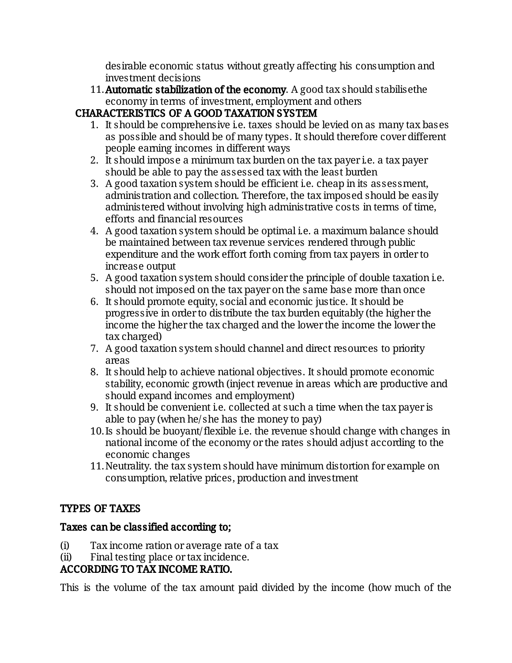desirable economic status without greatly affecting his consumption and investment decisions

11. Automatic stabilization of the economy. A good tax should stabilisethe economy in terms of investment, employment and others

# CHARACTERISTICS OF A GOOD TAXATION SYSTEM

- 1. It should be comprehensive i.e. taxes should be levied on as many tax bases as possible and should be of many types. It should therefore cover different people earning incomes in different ways
- 2. It should impose a minimum tax burden on the tax payer i.e. a tax payer should be able to pay the assessed tax with the least burden
- 3. A good taxation system should be efficient i.e. cheap in its assessment, administration and collection. Therefore, the tax imposed should be easily administered without involving high administrative costs in terms of time, efforts and financial resources
- 4. A good taxation system should be optimal i.e. a maximum balance should be maintained between tax revenue services rendered through public expenditure and the work effort forth coming from tax payers in order to increase output
- 5. A good taxation system should consider the principle of double taxation i.e. should not imposed on the tax payer on the same base more than once
- 6. It should promote equity, social and economic justice. It should be progressive in order to distribute the tax burden equitably (the higher the income the higher the tax charged and the lower the income the lower the taxcharged)
- 7. A good taxation system should channel and direct resources to priority areas
- 8. It should help to achieve national objectives. It should promote economic stability, economic growth (inject revenue in areas which are productive and should expand incomes and employment)
- 9. It should be convenient i.e. collected at such a time when the tax payer is able to pay (when he/she has the money to pay)
- 10. Is should be buoyant/flexible i.e. the revenue should change with changes in national income of the economy or the rates should adjust according to the economic changes
- 11. Neutrality, the tax system should have minimum distortion for example on consumption, relative prices, production and investment

## TYPES OF TAXES

## Taxes can be classified according to;

- $(i)$  Tax income ration or average rate of a tax
- (ii) Final testing place or tax incidence.

## ACCORDING TO TAX INCOME RATIO.

This is the volume of the tax amount paid divided by the income (how much of the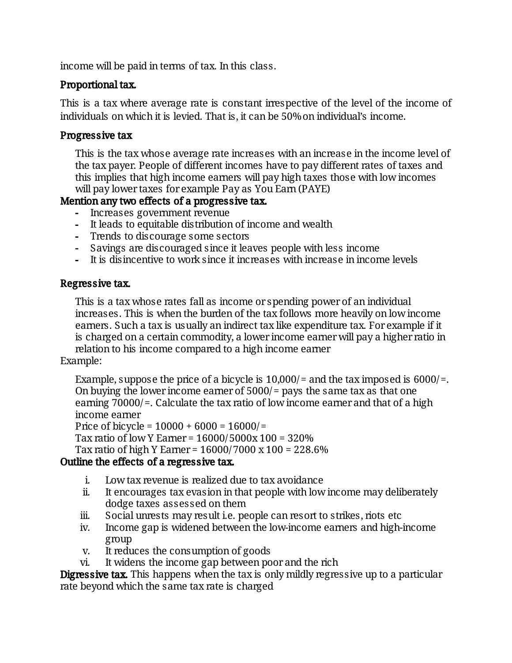income will be paid in terms of tax. In this class.

#### Proportional tax.

This is a tax where average rate is constant irrespective of the level of the income of individuals on which it is levied. That is, it can be 50% on individual's income.

#### Progressive tax

This is the tax whose average rate increases with an increase in the income level of the tax payer. People of different incomes have to pay different rates of taxes and this implies that high income earners will pay high taxes those with low incomes will pay lower taxes for example Pay as You Earn (PAYE)

#### Mention any two effects of a progressive tax.

- Increases government revenue
- It leads to equitable distribution of income and wealth
- Trends to discourage some sectors
- Savings are discouraged since it leaves people with less income
- It is disincentive to work since it increases with increase in income levels

#### Regressive tax.

This is a tax whose rates fall as income or spending power of an individual increases. This is when the burden of the tax follows more heavily on low income earners. Such a tax is usually an indirect tax like expenditure tax. For example if it is charged on a certain commodity, a lower income earner will pay a higher ratio in relation to his income compared to a high income earner Example:

Example, suppose the price of a bicycle is  $10,000/$  = and the tax imposed is 6000/ =. On buying the lower income earner of  $5000/$  = pays the same tax as that one earning  $70000/$ =. Calculate the tax ratio of low income earner and that of a high income earner

Price of bicycle =  $10000 + 6000 = 16000/$ = Tax ratio of low Y Earner =  $16000/5000x100 = 320%$ 

Tax ratio of high Y Earner =  $16000/7000 \times 100 = 228.6\%$ 

#### Outline the effects of a regressive tax.

- i. Low tax revenue is realized due to tax avoidance
- ii. It encourages tax evasion in that people with low income may deliberately dodge taxes assessed on them
- iii. Social unrests may result i.e. people can resort to strikes, riots etc
- iv. Income gap is widened between the low-income earners and high-income group
- v. It reduces the consumption of goods
- vi. It widens the income gap between poor and the rich

**Digressive tax.** This happens when the tax is only mildly regressive up to a particular rate beyond which the same tax rate is charged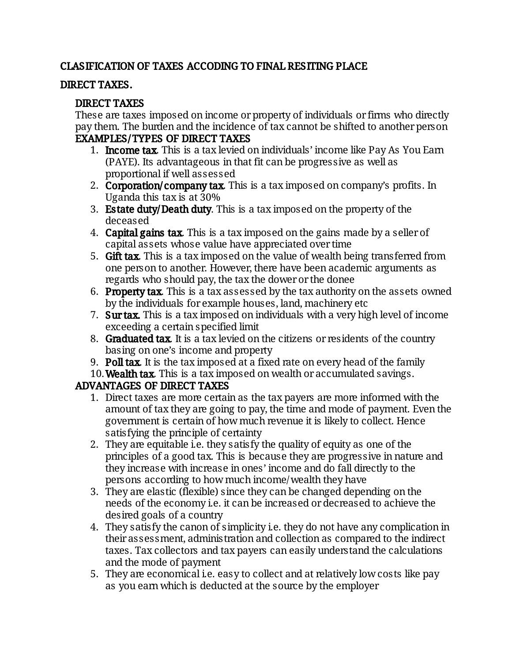### CLASIFICATION OF TAXES ACCODING TO FINAL RESITING PLACE

#### DIRECT TAXES.

#### DIRECT TAXES

These are taxes imposed on income or property of individuals or firms who directly pay them. The burden and the incidence of tax cannot be shifted to another person EXAMPLES/TYPES OF DIRECT TAXES

- 1. **Income tax** This is a tax levied on individuals' income like Pay As You Earn (PAYE). Its advantageous in that fit can be progressive as well as proportionalifwellassessed
- 2. Corporation/company tax. This is a tax imposed on company's profits. In Uganda this tax is at  $30\%$
- 3. Estate duty/Death duty. This is a tax imposed on the property of the deceased
- 4. Capital gains tax This is a tax imposed on the gains made by a seller of capital assets whose value have appreciated over time
- 5. Gift tax. This is a tax imposed on the value of wealth being transferred from one person to another. However, there have been academic arguments as regards who should pay, the tax the dower or the donee
- 6. **Property tax.** This is a tax assessed by the tax authority on the assets owned by the individuals for example houses, land, machinery etc
- 7. Surtax. This is a tax imposed on individuals with a very high level of income exceeding a certain specified limit
- 8. Graduated tax. It is a tax levied on the citizens or residents of the country basing on one's income and property
- 9. Poll tax. It is the tax imposed at a fixed rate on every head of the family
- 10. Wealth tax This is a tax imposed on wealth or accumulated savings.

## ADVANTAGES OF DIRECT TAXES

- 1. Direct taxes are more certain as the tax payers are more informed with the amount of tax they are going to pay, the time and mode of payment. Even the government is certain of how much revenue it is likely to collect. Hence satisfying the principle of certainty
- 2. They are equitable i.e. they satisfy the quality of equity as one of the principles of a good tax. This is because they are progressive in nature and they increase with increase in ones' income and do fall directly to the persons according to how much income/wealth they have
- 3. They are elastic (flexible) since they can be changed depending on the needs of the economy i.e. it can be increased or decreased to achieve the desired goals of a country
- 4. They satisfy the canon of simplicity i.e. they do not have any complication in their assessment, administration and collection as compared to the indirect taxes. Tax collectors and tax payers can easily understand the calculations and the mode of payment
- 5. They are economical i.e. easy to collect and at relatively low costs like pay as you earn which is deducted at the source by the employer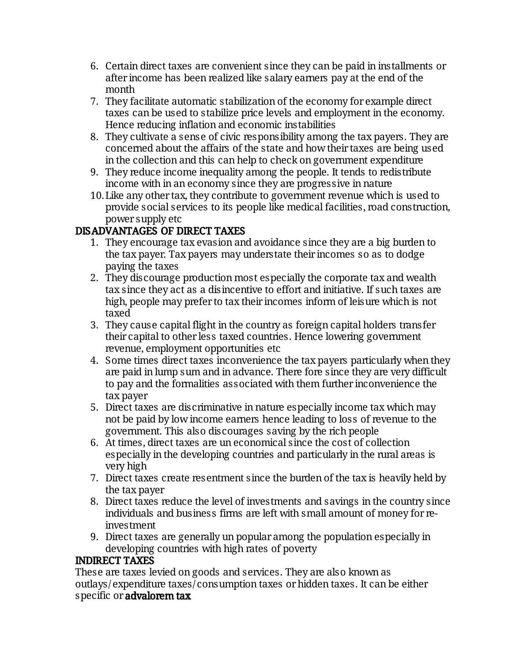- 6. Certain direct taxes are convenient since they can be paid in installments or after income has been realized like salary earners pay at the end of the month
- 7. They facilitate automatic stabilization of the economy for example direct taxes can be used to stabilize price levels and employment in the economy. Hence reducing inflation and economic instabilities
- 8. They cultivate a sense of civic responsibility among the tax payers. They are concerned about the affairs of the state and how their taxes are being used in the collection and this can help to check on government expenditure
- 9. They reduce income inequality among the people. It tends to redistribute income with in an economy since they are progressive in nature
- 10. Like any other tax, they contribute to government revenue which is used to provide social services to its people like medical facilities, road construction, powersupplyetc

# DISADVANTAGES OF DIRECT TAXES

- 1. They encourage tax evasion and avoidance since they are a big burden to the tax payer. Tax payers may understate their incomes so as to dodge paying the taxes
- 2. They discourage production most especially the corporate tax and wealth tax since they act as a disincentive to effort and initiative. If such taxes are high, people may prefer to tax their incomes inform of leisure which is not taxed
- 3. They cause capital flight in the country as foreign capital holders transfer their capital to other less taxed countries. Hence lowering government revenue, employment opportunities etc
- 4. Some times direct taxes inconvenience the tax payers particularly when they are paid in lump sum and in advance. There fore since they are very difficult to pay and the formalities associated with them further inconvenience the tax payer
- 5. Direct taxes are discriminative in nature especially income tax which may not be paid by low income earners hence leading to loss of revenue to the government. This also discourages saving by the rich people
- 6. At times, direct taxes are un economical since the cost of collection especially in the developing countries and particularly in the rural areas is veryhigh
- 7. Direct taxes create resentment since the burden of the tax is heavily held by the tax payer
- 8. Direct taxes reduce the level of investments and savings in the country since individuals and business firms are left with small amount of money for reinvestment
- 9. Direct taxes are generally un popular among the population especially in developing countries with high rates of poverty

## INDIRECT TAXES

These are taxes levied on goods and services. They are also known as outlays/expenditure taxes/consumption taxes or hidden taxes. It can be either specific or advalorem tax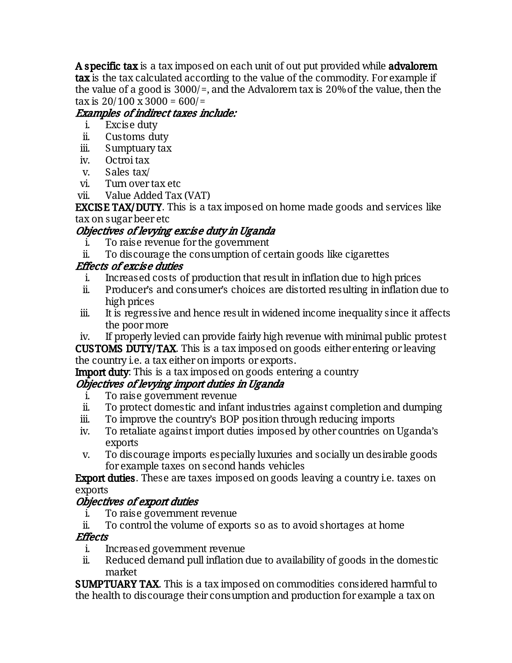A specific tax is a tax imposed on each unit of out put provided while advalorem tax is the tax calculated according to the value of the commodity. For example if the value of a good is  $3000/$ =, and the Advalorem tax is 20% of the value, then the tax is  $20/100 \times 3000 = 600/$ =

# Examples of indirect taxes include:

- i. Exciseduty
- ii. Customs duty
- iii. Sumptuary tax
- iv. Octroitax
- v. Sales tax/
- vi. Turnovertaxetc
- vii. Value Added Tax (VAT)

**EXCISE TAX/DUTY.** This is a tax imposed on home made goods and services like taxonsugarbeeretc

# Objectives of levying excise duty in Uganda

- i. To raise revenue for the government
- ii. To discourage the consumption of certain goods like cigarettes

# Effects of excise duties

- i. Increased costs of production that result in inflation due to high prices
- ii. Producer's and consumer's choices are distorted resulting in inflation due to high prices
- iii. It is regressive and hence result in widened income inequality since it affects the poor more

iv. If properly levied can provide fairly high revenue with minimal public protest **CUSTOMS DUTY/TAX.** This is a tax imposed on goods either entering or leaving the country i.e. a tax either on imports or exports.

**Import duty:** This is a tax imposed on goods entering a country

# Objectives of levying import duties in Uganda

- i. To raise government revenue
- ii. To protect domestic and infant industries against completion and dumping
- iii. To improve the country's BOP position through reducing imports
- iv. To retaliate against import duties imposed by other countries on Uganda's exports
- v. To discourage imports especially luxuries and socially un desirable goods for example taxes on second hands vehicles

**Export duties**. These are taxes imposed on goods leaving a country i.e. taxes on exports

## Objectives of export duties

- i. To raise government revenue
- ii. To control the volume of exports so as to avoid shortages at home

## **Effects**

- i. Increased government revenue
- ii. Reduced demand pull inflation due to availability of goods in the domestic market

**SUMPTUARY TAX.** This is a tax imposed on commodities considered harmful to the health to discourage their consumption and production for example a tax on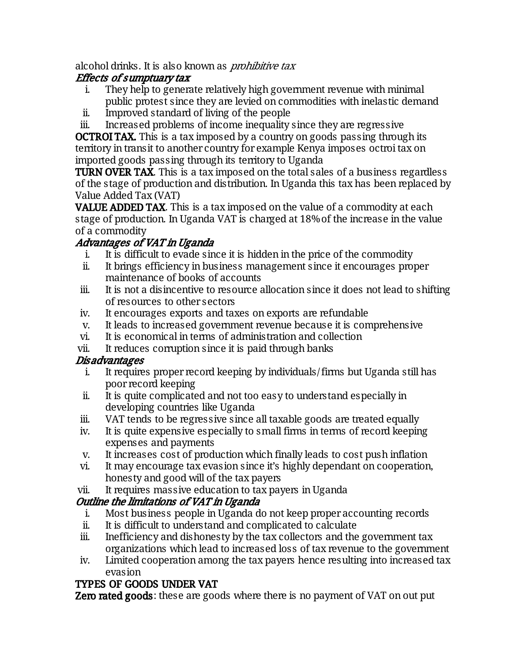alcohol drinks. It is also known as *prohibitive tax* 

# Effects of sumptuary tax

- i. They help to generate relatively high government revenue with minimal public protest since they are levied on commodities with inelastic demand
- ii. Improved standard of living of the people
- iii. Increased problems of income inequality since they are regressive

**OCTROITAX.** This is a tax imposed by a country on goods passing through its territory in transit to another country for example Kenya imposes octroi tax on imported goods passing through its territory to Uganda

**TURN OVER TAX.** This is a tax imposed on the total sales of a business regardless of the stage of production and distribution. In Uganda this tax has been replaced by Value Added Tax (VAT)

**VALUE ADDED TAX.** This is a tax imposed on the value of a commodity at each stage of production. In Uganda VAT is charged at 18% of the increase in the value of a commodity

# Advantages of VAT in Uganda

- i. It is difficult to evade since it is hidden in the price of the commodity
- ii. It brings efficiency in business management since it encourages proper maintenance of books of accounts
- iii. It is not a disincentive to resource allocation since it does not lead to shifting of resources to other sectors
- iv. It encourages exports and taxes on exports are refundable
- v. It leads to increased government revenue because it is comprehensive
- vi. It is economical in terms of administration and collection
- vii. It reduces corruption since it is paid through banks

## Disadvantages

- i. It requires proper record keeping by individuals/firms but Uganda still has poorrecordkeeping
- ii. It is quite complicated and not too easy to understand especially in developing countries like Uganda
- iii. VAT tends to be regressive since all taxable goods are treated equally
- iv. It is quite expensive especially to small firms in terms of record keeping expenses and payments
- v. It increases cost of production which finally leads to cost push inflation
- vi. It may encourage tax evasion since it's highly dependant on cooperation, honesty and good will of the tax payers
- vii. It requires massive education to tax payers in Uganda

# Outline the limitations of VAT in Uganda

- i. Most business people in Uganda do not keep proper accounting records
- ii. It is difficult to understand and complicated to calculate
- iii. Inefficiency and dishonesty by the tax collectors and the government tax organizations which lead to increased loss of tax revenue to the government
- iv. Limited cooperation among the tax payers hence resulting into increased tax evasion

# TYPES OF GOODS UNDER VAT

**Zero rated goods:** these are goods where there is no payment of VAT on out put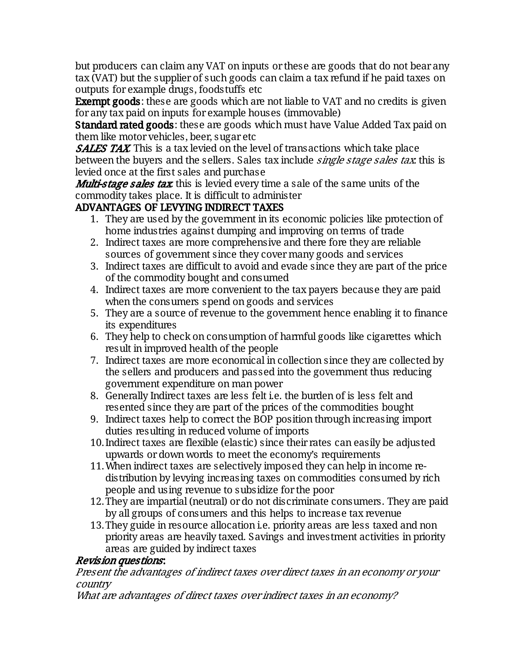but producers can claim any VAT on inputs or these are goods that do not bear any tax (VAT) but the supplier of such goods can claim a tax refund if he paid taxes on outputs for example drugs, foodstuffs etc

**Exempt goods:** these are goods which are not liable to VAT and no credits is given for any tax paid on inputs for example houses (immovable)

**Standard rated goods:** these are goods which must have Value Added Tax paid on them like motor vehicles, beer, sugar etc

**SALES TAX.** This is a tax levied on the level of transactions which take place between the buyers and the sellers. Sales tax include *single stage sales tax*: this is levied once at the first sales and purchase

**Multi-stage sales tax** this is levied every time a sale of the same units of the commodity takes place. It is difficult to administer

## ADVANTAGES OF LEVYING INDIRECT TAXES

- 1. They are used by the government in its economic policies like protection of home industries against dumping and improving on terms of trade
- 2. Indirect taxes are more comprehensive and there fore they are reliable sources of government since they cover many goods and services
- 3. Indirect taxes are difficult to avoid and evade since they are part of the price of the commodity bought and consumed
- 4. Indirect taxes are more convenient to the tax payers because they are paid when the consumers spend on goods and services
- 5. They are a source of revenue to the government hence enabling it to finance its expenditures
- 6. They help to check on consumption of harmful goods like cigarettes which result in improved health of the people
- 7. Indirect taxes are more economical in collection since they are collected by the sellers and producers and passed into the government thus reducing government expenditure on man power
- 8. Generally Indirect taxes are less felt i.e. the burden of is less felt and resented since they are part of the prices of the commodities bought
- 9. Indirect taxes help to correct the BOP position through increasing import duties resulting in reduced volume of imports
- 10. Indirect taxes are flexible (elastic) since their rates can easily be adjusted upwards or down words to meet the economy's requirements
- 11. When indirect taxes are selectively imposed they can help in income redistribution by levying increasing taxes on commodities consumed by rich people and using revenue to subsidize for the poor
- 12. They are impartial (neutral) or do not discriminate consumers. They are paid by all groups of consumers and this helps to increase tax revenue
- 13. They guide in resource allocation i.e. priority areas are less taxed and non priority areas are heavily taxed. Savings and investment activities in priority areas are guided by indirect taxes

## Revision questions:

Present the advantages of indirect taxes over direct taxes in an economy or your country

What are advantages of direct taxes over indirect taxes in an economy?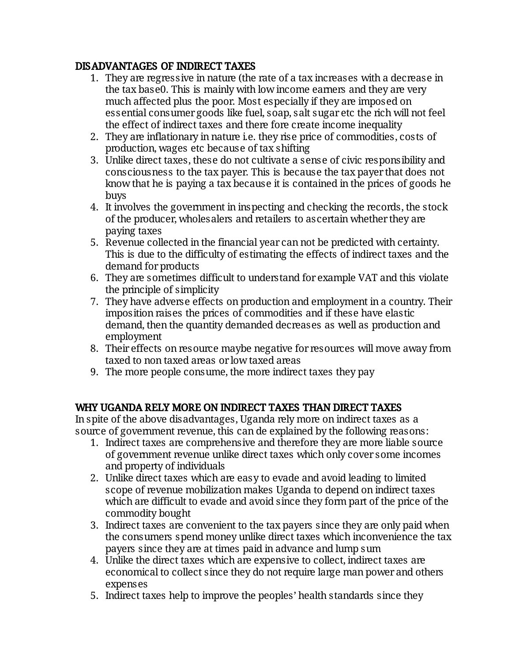### DISADVANTAGES OF INDIRECT TAXES

- 1. They are regressive in nature (the rate of a tax increases with a decrease in the tax base0. This is mainly with low income earners and they are very much affected plus the poor. Most especially if they are imposed on essential consumer goods like fuel, soap, salt sugar etc the rich will not feel the effect of indirect taxes and there fore create income inequality
- 2. They are inflationary in nature i.e. they rise price of commodities, costs of production, wages etc because of tax shifting
- 3. Unlike direct taxes, these do not cultivate a sense of civic responsibility and consciousness to the tax payer. This is because the tax payer that does not know that he is paying a tax because it is contained in the prices of goods he buys
- 4. It involves the government in inspecting and checking the records, the stock of the producer, wholesalers and retailers to ascertain whether they are paying taxes
- 5. Revenue collected in the financial year can not be predicted with certainty. This is due to the difficulty of estimating the effects of indirect taxes and the demand for products
- 6. They are sometimes difficult to understand for example VAT and this violate the principle of simplicity
- 7. They have adverse effects on production and employment in a country. Their imposition raises the prices of commodities and if these have elastic demand, then the quantity demanded decreases as well as production and employment
- 8. Their effects on resource maybe negative for resources will move away from taxed to non taxed areas or low taxed areas
- 9. The more people consume, the more indirect taxes they pay

#### WHY UGANDA RELY MORE ON INDIRECT TAXES THAN DIRECT TAXES

In spite of the above disadvantages, Uganda rely more on indirect taxes as a source of government revenue, this can de explained by the following reasons:

- 1. Indirect taxes are comprehensive and therefore they are more liable source of government revenue unlike direct taxes which only cover some incomes and property of individuals
- 2. Unlike direct taxes which are easy to evade and avoid leading to limited scope of revenue mobilization makes Uganda to depend on indirect taxes which are difficult to evade and avoid since they form part of the price of the commoditybought
- 3. Indirect taxes are convenient to the tax payers since they are only paid when the consumers spend money unlike direct taxes which inconvenience the tax payers since they are at times paid in advance and lump sum
- 4. Unlike the direct taxes which are expensive to collect, indirect taxes are economical to collect since they do not require large man power and others expenses
- 5. Indirect taxes help to improve the peoples' health standards since they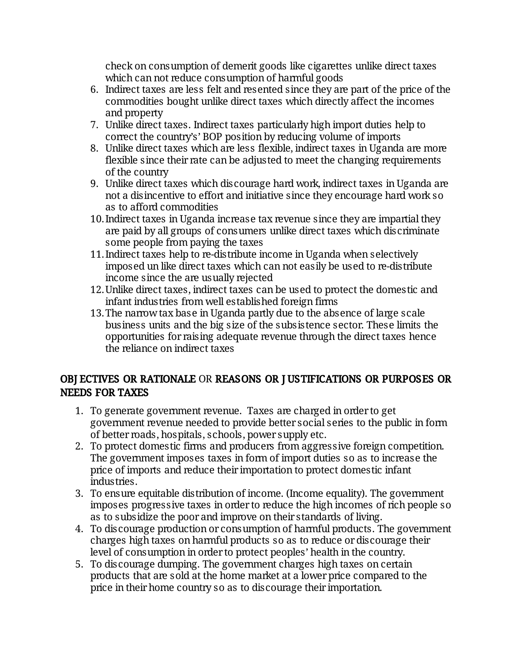check on consumption of demerit goods like cigarettes unlike direct taxes which can not reduce consumption of harmful goods

- 6. Indirect taxes are less felt and resented since they are part of the price of the commodities bought unlike direct taxes which directly affect the incomes and property
- 7. Unlike direct taxes. Indirect taxes particularly high import duties help to correct the country's' BOP position by reducing volume of imports
- 8. Unlike direct taxes which are less flexible, indirect taxes in Uganda are more flexible since their rate can be adjusted to meet the changing requirements of the country
- 9. Unlike direct taxes which discourage hard work, indirect taxes in Uganda are not a disincentive to effort and initiative since they encourage hard work so as to afford commodities
- 10. Indirect taxes in Uganda increase tax revenue since they are impartial they are paid by all groups of consumers unlike direct taxes which discriminate some people from paying the taxes
- 11. Indirect taxes help to re-distribute income in Uganda when selectively imposed un like direct taxes which can not easily be used to re-distribute income since the are usually rejected
- 12. Unlike direct taxes, indirect taxes can be used to protect the domestic and infant industries from well established foreign firms
- 13. The narrow tax base in Uganda partly due to the absence of large scale business units and the big size of the subsistence sector. These limits the opportunities for raising adequate revenue through the direct taxes hence the reliance on indirect taxes

### OBJ ECTIVES OR RATIONALE OR REASONS OR J USTIFICATIONS OR PURPOSES OR **NEEDS FOR TAXES**

- 1. To generate government revenue. Taxes are charged in order to get government revenue needed to provide better social series to the public in form of better roads, hospitals, schools, power supply etc.
- 2. To protect domestic firms and producers from aggressive foreign competition. The government imposes taxes in form of import duties so as to increase the price of imports and reduce their importation to protect domestic infant industries.
- 3. To ensure equitable distribution of income. (Income equality). The government imposes progressive taxes in order to reduce the high incomes of rich people so as to subsidize the poor and improve on their standards of living.
- 4. To discourage production or consumption of harmful products. The government charges high taxes on harmful products so as to reduce or discourage their level of consumption in order to protect peoples' health in the country.
- 5. To discourage dumping. The government charges high taxes on certain products that are sold at the home market at a lower price compared to the price in their home country so as to discourage their importation.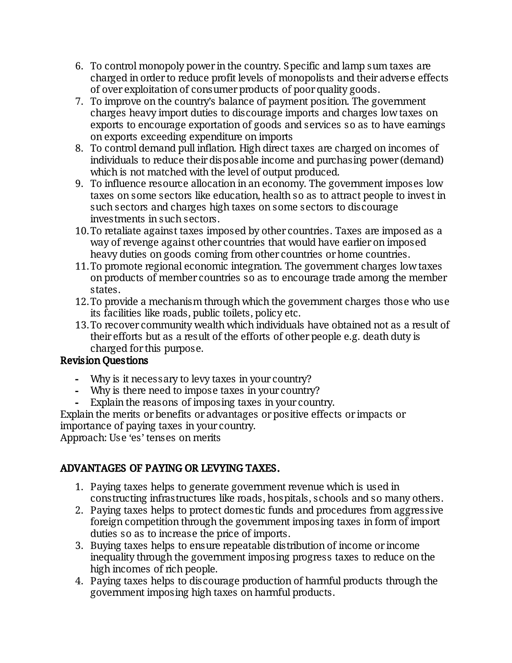- 6. To control monopoly power in the country. Specific and lamp sum taxes are charged in order to reduce profit levels of monopolists and their adverse effects of over exploitation of consumer products of poor quality goods.
- 7. To improve on the country's balance of payment position. The government charges heavy import duties to discourage imports and charges low taxes on exports to encourage exportation of goods and services so as to have earnings on exports exceeding expenditure on imports
- 8. To control demand pull inflation. High direct taxes are charged on incomes of individuals to reduce their disposable income and purchasing power (demand) which is not matched with the level of output produced.
- 9. To influence resource allocation in an economy. The government imposes low taxes on some sectors like education, health so as to attract people to invest in such sectors and charges high taxes on some sectors to discourage investments in such sectors.
- 10. To retaliate against taxes imposed by other countries. Taxes are imposed as a way of revenge against other countries that would have earlier on imposed heavy duties on goods coming from other countries or home countries.
- 11. To promote regional economic integration. The government charges low taxes on products of member countries so as to encourage trade among the member states.
- 12. To provide a mechanism through which the government charges those who use its facilities like roads, public toilets, policy etc.
- 13. To recover community wealth which individuals have obtained not as a result of their efforts but as a result of the efforts of other people e.g. death duty is charged for this purpose.

### Revision Questions

- Why is it necessary to levy taxes in your country?
- Why is there need to impose taxes in your country?
- Explain the reasons of imposing taxes in your country.

Explain the merits or benefits or advantages or positive effects or impacts or importance of paying taxes in your country. Approach: Use 'es' tenses on merits

# ADVANTAGES OF PAYING OR LEVYING TAXES.

- 1. Paying taxes helps to generate government revenue which is used in constructing infrastructures like roads, hospitals, schools and so many others.
- 2. Paying taxes helps to protect domestic funds and procedures from aggressive foreign competition through the government imposing taxes in form of import duties so as to increase the price of imports.
- 3. Buying taxes helps to ensure repeatable distribution of income or income inequality through the government imposing progress taxes to reduce on the high incomes of rich people.
- 4. Paying taxes helps to discourage production of harmful products through the government imposing high taxes on harmful products.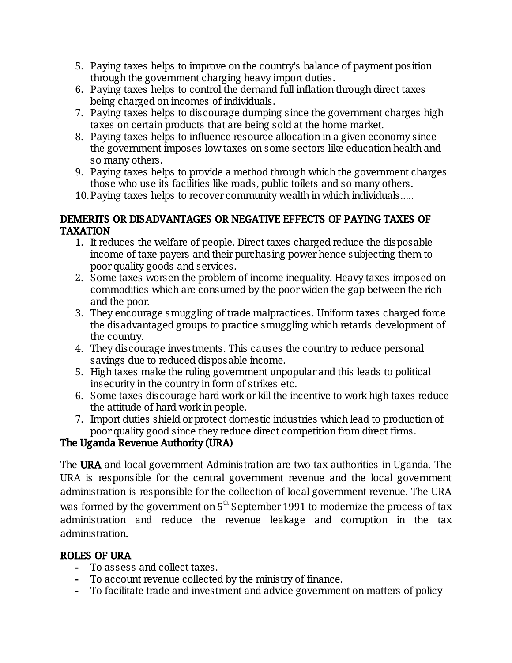- 5. Paying taxes helps to improve on the country's balance of payment position through the government charging heavy import duties.
- 6. Paying taxes helps to control the demand full inflation through direct taxes being charged on incomes of individuals.
- 7. Paying taxes helps to discourage dumping since the government charges high taxes on certain products that are being sold at the home market.
- 8. Paying taxes helps to influence resource allocation in a given economy since the government imposes low taxes on some sectors like education health and so many others.
- 9. Paying taxes helps to provide a method through which the government charges those who use its facilities like roads, public toilets and so many others.
- 10. Paying taxes helps to recover community wealth in which individuals.....

#### DEMERITS OR DISADVANTAGES OR NEGATIVE EFFECTS OF PAYING TAXES OF TAXATION

- 1. It reduces the welfare of people. Direct taxes charged reduce the disposable income of taxe payers and their purchasing power hence subjecting them to poor quality goods and services.
- 2. Some taxes worsen the problem of income inequality. Heavy taxes imposed on commodities which are consumed by the poor widen the gap between the rich and the poor.
- 3. They encourage smuggling of trade malpractices. Uniform taxes charged force the disadvantaged groups to practice smuggling which retards development of the country.
- 4. They discourage investments. This causes the country to reduce personal savings due to reduced disposable income.
- 5. High taxes make the ruling government unpopular and this leads to political insecurity in the country in form of strikes etc.
- 6. Some taxes discourage hard work or kill the incentive to work high taxes reduce the attitude of hard work in people.
- 7. Import duties shield or protect domestic industries which lead to production of poor quality good since they reduce direct competition from direct firms.

# The Uganda Revenue Authority (URA)

The URA and local government Administration are two tax authorities in Uganda. The URA is responsible for the central government revenue and the local government administration is responsible for the collection of local government revenue. The URA was formed by the government on  $5<sup>th</sup>$  September 1991 to modernize the process of tax administration and reduce the revenue leakage and corruption in the tax administration.

## ROLES OF URA

- To assess and collect taxes.
- To account revenue collected by the ministry of finance.
- To facilitate trade and investment and advice government on matters of policy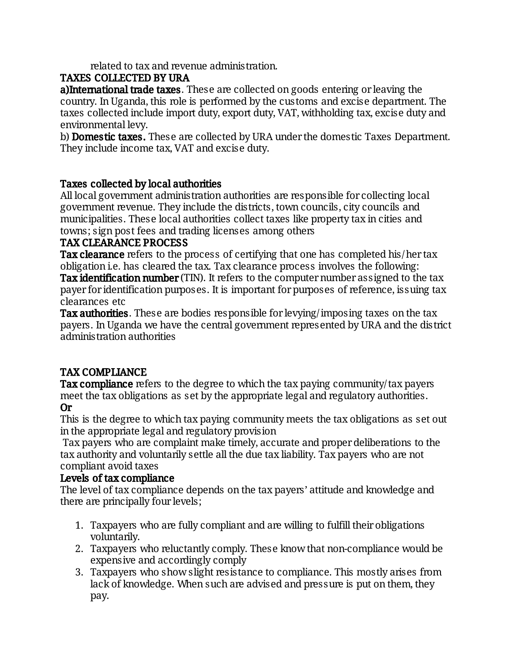related to tax and revenue administration.

### TAXES COLLECTED BY URA

a)International trade taxes. These are collected on goods entering or leaving the country. In Uganda, this role is performed by the customs and excise department. The taxes collected include import duty, export duty, VAT, withholding tax, excise duty and environmental levy.

b) **Domestic taxes.** These are collected by URA under the domestic Taxes Department. They include income tax, VAT and excise duty.

### Taxes collected by local authorities

All local government administration authorities are responsible for collecting local government revenue. They include the districts, town councils, city councils and municipalities. These local authorities collect taxes like property tax in cities and towns; sign post fees and trading licenses among others

#### TAX CLEARANCE PROCESS

**Tax clearance** refers to the process of certifying that one has completed his/hertax obligation i.e. has cleared the tax. Tax clearance process involves the following: **Tax identification number** (TIN). It refers to the computer number assigned to the tax payer for identification purposes. It is important for purposes of reference, issuing tax clearances etc

Tax authorities. These are bodies responsible for levying/imposing taxes on the tax payers. In Uganda we have the central government represented by URA and the district administration authorities

## TAX COMPLIANCE

**Tax compliance** refers to the degree to which the tax paying community/tax payers meet the tax obligations as set by the appropriate legal and regulatory authorities. Or

This is the degree to which tax paying community meets the tax obligations as set out in the appropriate legal and regulatory provision

Tax payers who are complaint make timely, accurate and proper deliberations to the tax authority and voluntarily settle all the due tax liability. Tax payers who are not compliant avoid taxes

#### Levels of tax compliance

The level of tax compliance depends on the tax payers' attitude and knowledge and there are principally four levels;

- 1. Taxpayers who are fully compliant and are willing to fulfill their obligations voluntarily.
- 2. Taxpayers who reluctantly comply. These know that non-compliance would be expensive and accordingly comply
- 3. Taxpayers who show slight resistance to compliance. This mostly arises from lack of knowledge. When such are advised and pressure is put on them, they pay.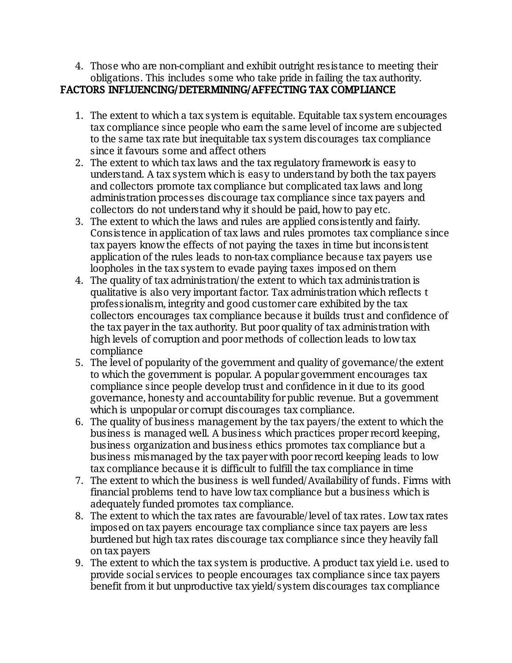4. Those who are non-compliant and exhibit outright resistance to meeting their obligations. This includes some who take pride in failing the tax authority.

### FACTORS INFLUENCING/DETERMINING/AFFECTING TAX COMPLIANCE

- 1. The extent to which a tax system is equitable. Equitable tax system encourages tax compliance since people who earn the same level of income are subjected to the same tax rate but inequitable tax system discourages tax compliance since it favours some and affect others
- 2. The extent to which tax laws and the tax regulatory framework is easy to understand. A tax system which is easy to understand by both the tax payers and collectors promote tax compliance but complicated tax laws and long administration processes discourage tax compliance since tax payers and collectors do not understand why it should be paid, how to pay etc.
- 3. The extent to which the laws and rules are applied consistently and fairly. Consistence in application of tax laws and rules promotes tax compliance since tax payers know the effects of not paying the taxes in time but inconsistent application of the rules leads to non-tax compliance because tax payers use loopholes in the tax system to evade paying taxes imposed on them
- 4. The quality of tax administration/the extent to which tax administration is qualitative is also very important factor. Tax administration which reflects t professionalism, integrity and good customer care exhibited by the tax collectors encourages tax compliance because it builds trust and confidence of the tax payer in the tax authority. But poor quality of tax administration with high levels of corruption and poor methods of collection leads to low tax compliance
- 5. The level of popularity of the government and quality of governance/the extent to which the government is popular. A popular government encourages tax compliance since people develop trust and confidence in it due to its good governance, honesty and accountability for public revenue. But a government which is unpopular or corrupt discourages tax compliance.
- 6. The quality of business management by the tax payers/the extent to which the business is managed well. A business which practices proper record keeping, business organization and business ethics promotes tax compliance but a business mismanaged by the tax payer with poor record keeping leads to low tax compliance because it is difficult to fulfill the tax compliance in time
- 7. The extent to which the business is well funded/Availability of funds. Firms with financial problems tend to have low tax compliance but a business which is adequately funded promotes tax compliance.
- 8. The extent to which the tax rates are favourable/level of tax rates. Low tax rates imposed on tax payers encourage tax compliance since tax payers are less burdened but high tax rates discourage tax compliance since they heavily fall on tax payers
- 9. The extent to which the tax system is productive. A product tax yield i.e. used to provide social services to people encourages tax compliance since tax payers benefit from it but unproductive tax yield/system discourages tax compliance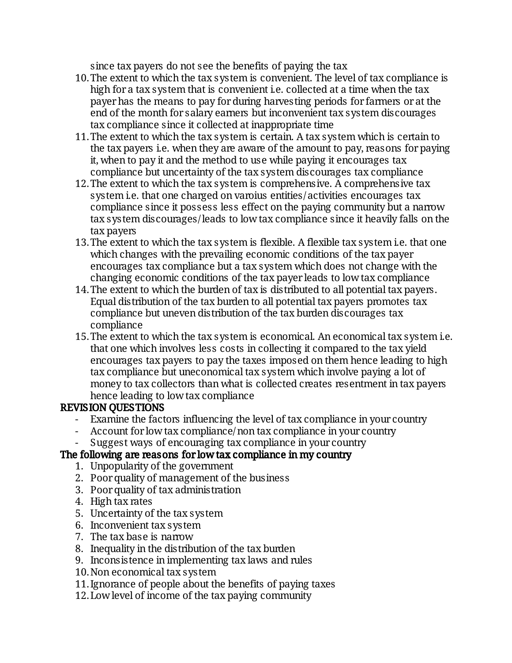since tax payers do not see the benefits of paying the tax

- 10. The extent to which the tax system is convenient. The level of tax compliance is high for a tax system that is convenient i.e. collected at a time when the tax payer has the means to pay for during harvesting periods for farmers or at the end of the month for salary earners but inconvenient tax system discourages tax compliance since it collected at inappropriate time
- 11. The extent to which the tax system is certain. A tax system which is certain to the tax payers i.e. when they are aware of the amount to pay, reasons for paying it, when to pay it and the method to use while paying it encourages tax compliance but uncertainty of the tax system discourages tax compliance
- 12. The extent to which the tax system is comprehensive. A comprehensive tax system i.e. that one charged on varoius entities/activities encourages tax compliance since it possess less effect on the paying community but a narrow tax system discourages/leads to low tax compliance since it heavily falls on the tax payers
- 13. The extent to which the tax system is flexible. A flexible tax system i.e. that one which changes with the prevailing economic conditions of the tax payer encourages tax compliance but a tax system which does not change with the changing economic conditions of the tax payer leads to low tax compliance
- 14. The extent to which the burden of tax is distributed to all potential tax payers. Equal distribution of the tax burden to all potential tax payers promotes tax compliance but uneven distribution of the tax burden discourages tax compliance
- 15. The extent to which the tax system is economical. An economical tax system i.e. that one which involves less costs in collecting it compared to the tax yield encourages tax payers to pay the taxes imposed on them hence leading to high tax compliance but uneconomical tax system which involve paying a lot of money to tax collectors than what is collected creates resentment in tax payers hence leading to low tax compliance

#### REVISION QUESTIONS

- Examine the factors influencing the level of tax compliance in your country
- Account for low tax compliance/non tax compliance in your country
- Suggest ways of encouraging tax compliance in your country

## The following are reasons for low tax compliance in my country

- 1. Unpopularity of the government
- 2. Poor quality of management of the business
- 3. Poor quality of tax administration
- 4. High tax rates
- 5. Uncertainty of the tax system
- 6. Inconvenient tax system
- 7. The tax base is narrow
- 8. Inequality in the distribution of the tax burden
- 9. Inconsistence in implementing tax laws and rules
- 10. Non economical tax system
- 11. Ignorance of people about the benefits of paying taxes
- 12. Low level of income of the tax paying community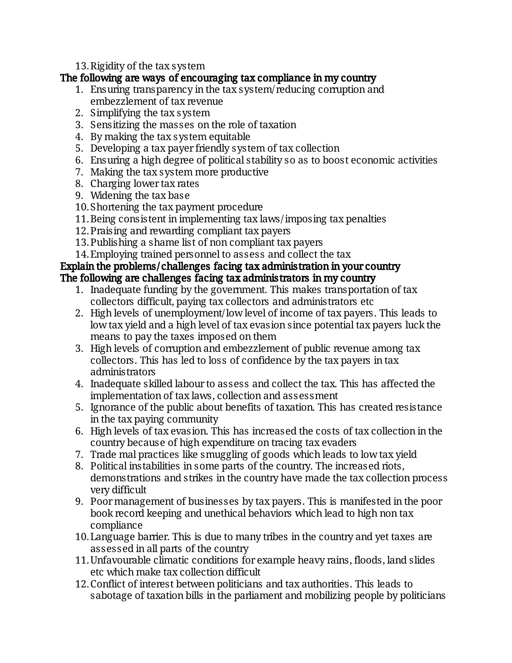13. Rigidity of the tax system

#### The following are ways of encouraging tax compliance in my country

- 1. Ensuring transparency in the tax system/reducing corruption and embezzlement of tax revenue
- 2. Simplifying the tax system
- 3. Sensitizing the masses on the role of taxation
- 4. By making the tax system equitable
- 5. Developing a tax payer friendly system of tax collection
- 6. Ensuring a high degree of political stability so as to boost economic activities
- 7. Making the tax system more productive
- 8. Charging lower tax rates
- 9. Widening the tax base
- 10. Shortening the tax payment procedure
- 11. Being consistent in implementing tax laws/imposing tax penalties
- 12. Praising and rewarding compliant tax payers
- 13. Publishing a shame list of non compliant tax payers
- 14. Employing trained personnel to assess and collect the tax

#### Explain the problems/challenges facing tax administration in your country The following are challenges facing tax administrators in my country

- 1. Inadequate funding by the government. This makes transportation of tax collectors difficult, paying tax collectors and administrators etc.
- 2. High levels of unemployment/low level of income of tax payers. This leads to low tax yield and a high level of tax evasion since potential tax payers luck the means to pay the taxes imposed on them
- 3. High levels of corruption and embezzlement of public revenue among tax collectors. This has led to loss of confidence by the tax payers in tax administrators
- 4. Inadequate skilled labour to assess and collect the tax. This has affected the implementation of tax laws, collection and assessment
- 5. Ignorance of the public about benefits of taxation. This has created resistance in the tax paying community
- 6. High levels of tax evasion. This has increased the costs of tax collection in the country because of high expenditure on tracing tax evaders
- 7. Trade mal practices like smuggling of goods which leads to low tax yield
- 8. Political instabilities in some parts of the country. The increased riots, demonstrations and strikes in the country have made the tax collection process verydifficult
- 9. Poor management of businesses by tax payers. This is manifested in the poor book record keeping and unethical behaviors which lead to high non tax compliance
- 10. Language barrier. This is due to many tribes in the country and yet taxes are assessed in all parts of the country
- 11. Unfavourable climatic conditions for example heavy rains, floods, land slides etc which make tax collection difficult
- 12. Conflict of interest between politicians and tax authorities. This leads to sabotage of taxation bills in the parliament and mobilizing people by politicians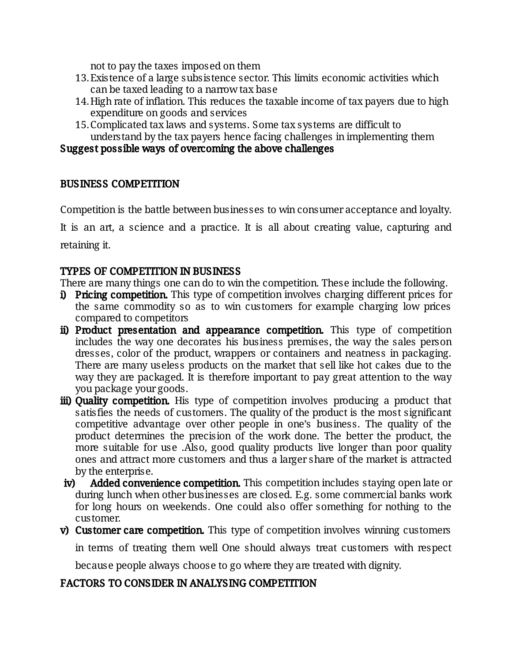not to pay the taxes imposed on them

- 13. Existence of a large subsistence sector. This limits economic activities which can be taxed leading to a narrow tax base
- 14. High rate of inflation. This reduces the taxable income of tax payers due to high expenditure on goods and services
- 15. Complicated tax laws and systems. Some tax systems are difficult to understand by the tax payers hence facing challenges in implementing them

### Suggest possible ways of overcoming the above challenges

#### **BUSINESS COMPETITION**

Competition is the battle between businesses to win consumer acceptance and loyalty.

It is an art, a science and a practice. It is all about creating value, capturing and retaining it.

#### TYPES OF COMPETITION IN BUSINESS

There are many things one can do to win the competition. These include the following.

- i) Pricing competition. This type of competition involves charging different prices for the same commodity so as to win customers for example charging low prices compared to competitors
- ii) Product presentation and appearance competition. This type of competition includes the way one decorates his business premises, the way the sales person dresses, color of the product, wrappers or containers and neatness in packaging. There are many useless products on the market that sell like hot cakes due to the way they are packaged. It is therefore important to pay great attention to the way you package your goods.
- iii) Quality competition. His type of competition involves producing a product that satisfies the needs of customers. The quality of the product is the most significant competitive advantage over other people in one's business. The quality of the product determines the precision of the work done. The better the product, the more suitable for use .Also, good quality products live longer than poor quality ones and attract more customers and thus a larger share of the market is attracted by the enterprise.
- iv) Added convenience competition. This competition includes staying open late or during lunch when other businesses are closed. E.g. some commercial banks work for long hours on weekends. One could also offer something for nothing to the customer.
- v) Customer care competition. This type of competition involves winning customers

in terms of treating them well One should always treat customers with respect

because people always choose to go where they are treated with dignity.

#### FACTORS TO CONSIDER IN ANALYSING COMPETITION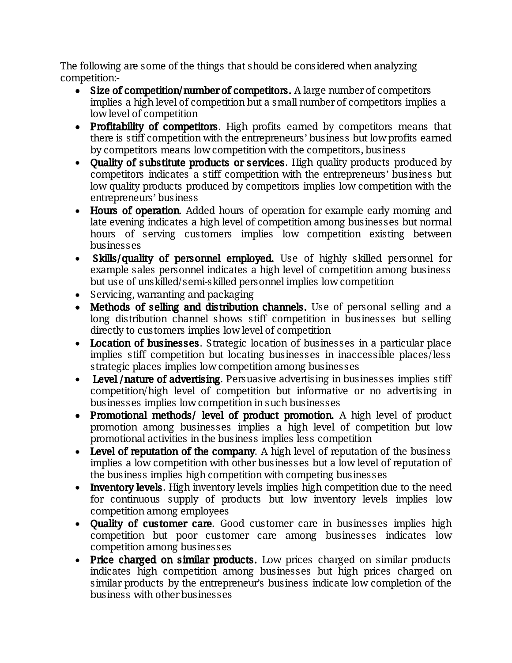The following are some of the things that should be considered when analyzing competition:-

- Size of competition/number of competitors. A large number of competitors implies a high level of competition but a small number of competitors implies a low level of competition
- Profitability of competitors. High profits earned by competitors means that there is stiff competition with the entrepreneurs' business but low profits earned by competitors means low competition with the competitors, business
- Ouality of substitute products or services. High quality products produced by competitors indicates a stiff competition with the entrepreneurs' business but low quality products produced by competitors implies low competition with the entrepreneurs'business
- Hours of operation. Added hours of operation for example early morning and late evening indicates a high level of competition among businesses but normal hours of serving customers implies low competition existing between businesses
- Skills/quality of personnel employed. Use of highly skilled personnel for example sales personnel indicates a high level of competition among business but use of unskilled/semi-skilled personnel implies low competition
- Servicing, warranting and packaging
- Methods of selling and distribution channels. Use of personal selling and a long distribution channel shows stiff competition in businesses but selling directly to customers implies low level of competition
- Location of businesses. Strategic location of businesses in a particular place implies stiff competition but locating businesses in inaccessible places/less strategic places implies low competition among businesses
- Level/nature of advertising. Persuasive advertising in businesses implies stiff competition/high level of competition but informative or no advertising in businesses implies low competition in such businesses
- Promotional methods/ level of product promotion. A high level of product promotion among businesses implies a high level of competition but low promotional activities in the business implies less competition
- Level of reputation of the company. A high level of reputation of the business implies a low competition with other businesses but a low level of reputation of the business implies high competition with competing businesses
- Inventory levels. High inventory levels implies high competition due to the need for continuous supply of products but low inventory levels implies low competition among employees
- **Quality of customer care.** Good customer care in businesses implies high competition but poor customer care among businesses indicates low competition among businesses
- Price charged on similar products. Low prices charged on similar products indicates high competition among businesses but high prices charged on similar products by the entrepreneur's business indicate low completion of the businesswithotherbusinesses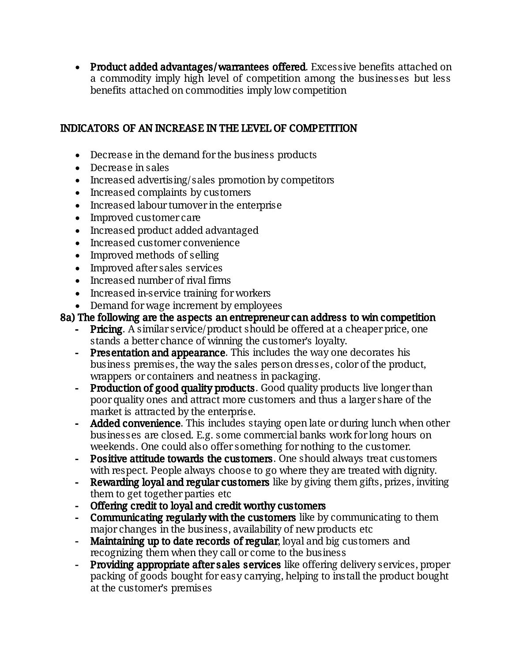• Product added advantages/warrantees offered. Excessive benefits attached on a commodity imply high level of competition among the businesses but less benefits attached on commodities imply low competition

### INDICATORS OF AN INCREASE IN THE LEVEL OF COMPETITION

- Decrease in the demand for the business products
- Decrease in sales
- $\bullet$  Increased advertising/sales promotion by competitors
- Increased complaints by customers
- Increased labour turnover in the enterprise
- Improved customer care
- Increased product added advantaged
- Increased customer convenience
- Improved methods of selling
- Improved after sales services
- $\bullet$  Increased number of rival firms
- Increased in-service training for workers
- Demand for wage increment by employees

### 8a) The following are the aspects an entrepreneur can address to win competition

- Pricing. A similar service/product should be offered at a cheaper price, one stands a better chance of winning the customer's loyalty.
- Presentation and appearance. This includes the way one decorates his business premises, the way the sales person dresses, color of the product, wrappers or containers and neatness in packaging.
- Production of good quality products. Good quality products live longer than poor quality ones and attract more customers and thus a larger share of the market is attracted by the enterprise.
- Added convenience. This includes staying open late or during lunch when other businesses are closed. E.g. some commercial banks work for long hours on weekends. One could also offer something for nothing to the customer.
- Positive attitude towards the customers. One should always treat customers with respect. People always choose to go where they are treated with dignity.
- Rewarding loyal and regular customers like by giving them gifts, prizes, inviting them to get together parties etc
- Offering credit to loyal and credit worthy customers
- Communicating regularly with the customers like by communicating to them major changes in the business, availability of new products etc.
- Maintaining up to date records of regular, loyal and big customers and recognizing them when they call or come to the business
- **Providing appropriate after sales services** like offering delivery services, proper packing of goods bought for easy carrying, helping to install the product bought at the customer's premises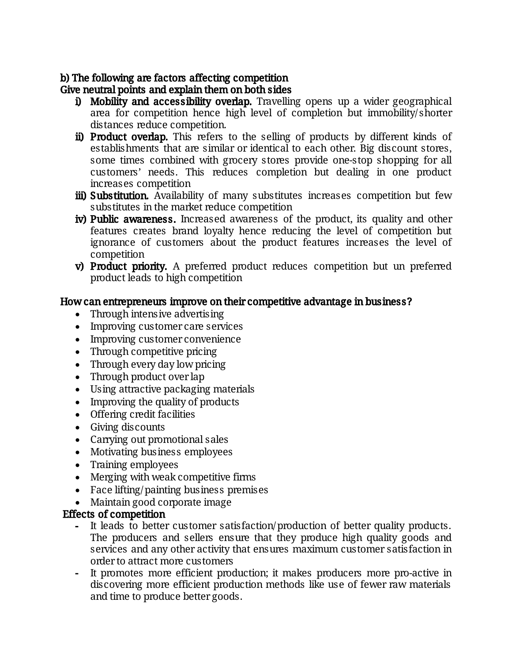### b) The following are factors affecting competition

Give neutral points and explain them on both sides

- i) Mobility and accessibility overlap. Travelling opens up a wider geographical area for competition hence high level of completion but immobility/shorter distances reduce competition.
- ii) Product overlap. This refers to the selling of products by different kinds of establishments that are similar or identical to each other. Big discount stores, some times combined with grocery stores provide one-stop shopping for all customers' needs. This reduces completion but dealing in one product increases competition
- iii) Substitution. Availability of many substitutes increases competition but few substitutes in the market reduce competition
- iv) Public awareness. Increased awareness of the product, its quality and other features creates brand loyalty hence reducing the level of competition but ignorance of customers about the product features increases the level of competition
- v) Product priority. A preferred product reduces competition but un preferred product leads to high competition

#### How can entrepreneurs improve on their competitive advantage in business?

- $\bullet$  Through intensive advertising
- Improving customer care services
- Improving customer convenience
- Through competitive pricing
- Through every day low pricing
- Through product over lap
- Using attractive packaging materials
- Improving the quality of products
- Offering credit facilities
- $\bullet$  Giving discounts
- Carrying out promotional sales
- Motivating business employees
- Training employees
- Merging with weak competitive firms
- Face lifting/painting business premises
- Maintain good corporate image

#### Effects of competition

- It leads to better customer satisfaction/production of better quality products. The producers and sellers ensure that they produce high quality goods and services and any other activity that ensures maximum customer satisfaction in order to attract more customers
- It promotes more efficient production; it makes producers more pro-active in discovering more efficient production methods like use of fewer raw materials and time to produce better goods.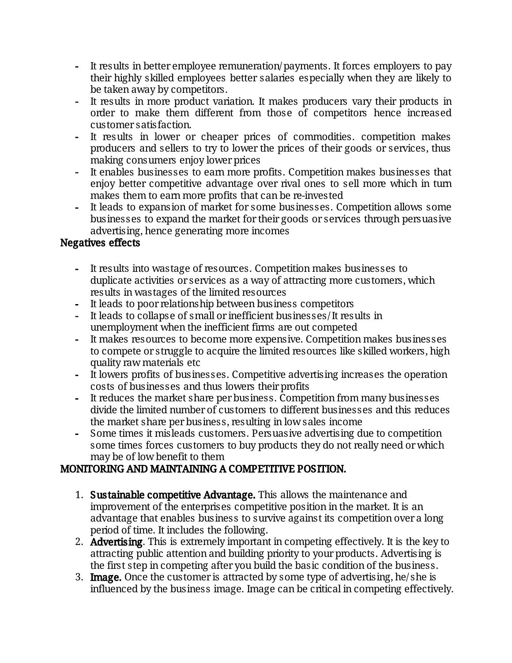- It results in better employee remuneration/payments. It forces employers to pay their highly skilled employees better salaries especially when they are likely to be taken away by competitors.
- It results in more product variation. It makes producers vary their products in order to make them different from those of competitors hence increased customersatisfaction.
- It results in lower or cheaper prices of commodities. competition makes producers and sellers to try to lower the prices of their goods or services, thus making consumers enjoy lower prices
- It enables businesses to earn more profits. Competition makes businesses that enjoy better competitive advantage over rival ones to sell more which in turn makes them to earn more profits that can be re-invested
- It leads to expansion of market for some businesses. Competition allows some businesses to expand the market for their goods or services through persuasive advertising, hence generating more incomes

### Negatives effects

- It results into wastage of resources. Competition makes businesses to duplicate activities or services as a way of attracting more customers, which results in wastages of the limited resources
- It leads to poor relationship between business competitors
- It leads to collapse of small or inefficient businesses/It results in unemployment when the inefficient firms are out competed
- It makes resources to become more expensive. Competition makes businesses to compete or struggle to acquire the limited resources like skilled workers, high quality raw materials etc
- It lowers profits of businesses. Competitive advertising increases the operation costs of businesses and thus lowers their profits
- It reduces the market share per business. Competition from many businesses divide the limited number of customers to different businesses and this reduces the market share per business, resulting in low sales income
- Some times it misleads customers. Persuasive advertising due to competition some times forces customers to buy products they do not really need or which may be of low benefit to them

## MONITORING AND MAINTAINING A COMPETITIVE POSITION.

- 1. Sustainable competitive Advantage. This allows the maintenance and improvement of the enterprises competitive position in the market. It is an advantage that enables business to survive against its competition over a long period of time. It includes the following.
- 2. Advertising. This is extremely important in competing effectively. It is the key to attracting public attention and building priority to your products. Advertising is the first step in competing after you build the basic condition of the business.
- 3. Image. Once the customer is attracted by some type of advertising, he/she is influenced by the business image. Image can be critical in competing effectively.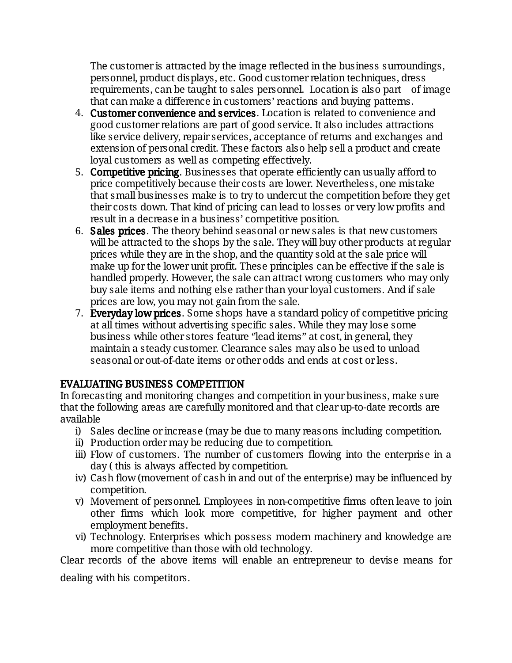The customer is attracted by the image reflected in the business surroundings, personnel, product displays, etc. Good customer relation techniques, dress requirements, can be taught to sales personnel. Location is also part of image that can make a difference in customers' reactions and buying patterns.

- 4. Customer convenience and services. Location is related to convenience and good customer relations are part of good service. It also includes attractions like service delivery, repair services, acceptance of returns and exchanges and extension of personal credit. These factors also help sell a product and create loyal customers as well as competing effectively.
- 5. Competitive pricing. Businesses that operate efficiently can usually afford to price competitively because their costs are lower. Nevertheless, one mistake that small businesses make is to try to undercut the competition before they get their costs down. That kind of pricing can lead to losses or very low profits and result in a decrease in a business' competitive position.
- 6. Sales prices. The theory behind seasonal or new sales is that new customers will be attracted to the shops by the sale. They will buy other products at regular prices while they are in the shop, and the quantity sold at the sale price will make up for the lower unit profit. These principles can be effective if the sale is handled properly. However, the sale can attract wrong customers who may only buy sale items and nothing else rather than your loyal customers. And if sale prices are low, you may not gain from the sale.
- 7. Everyday low prices. Some shops have a standard policy of competitive pricing at all times without advertising specific sales. While they may lose some business while other stores feature "lead items" at cost, in general, they maintain a steady customer. Clearance sales may also be used to unload seasonal or out-of-date items or other odds and ends at cost or less.

#### EVALUATING BUSINESS COMPETITION

In forecasting and monitoring changes and competition in your business, make sure that the following areas are carefully monitored and that clear up-to-date records are available

- i) Sales decline or increase (may be due to many reasons including competition.
- ii) Production order may be reducing due to competition.
- iii) Flow of customers. The number of customers flowing into the enterprise in a day (this is always affected by competition.
- iv) Cash flow (movement of cash in and out of the enterprise) may be influenced by competition.
- v) Movement of personnel. Employees in non-competitive firms often leave to join other firms which look more competitive, for higher payment and other employment benefits.
- vi) Technology. Enterprises which possess modern machinery and knowledge are more competitive than those with old technology.

Clear records of the above items will enable an entrepreneur to devise means for

dealing with his competitors.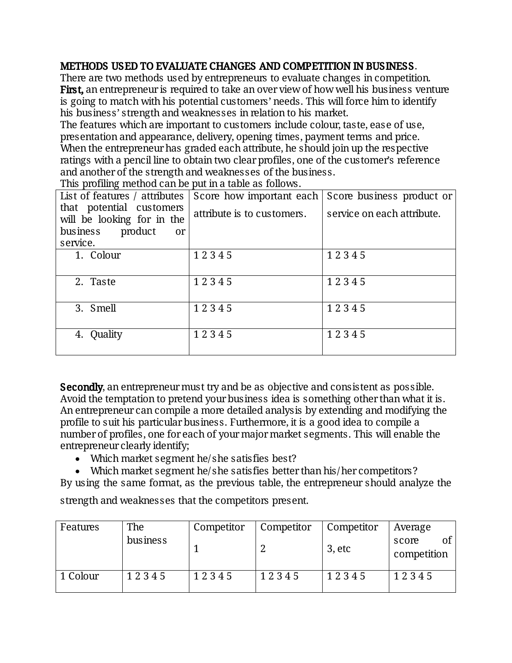#### METHODS USED TO EVALUATE CHANGES AND COMPETITION IN BUSINESS.

There are two methods used by entrepreneurs to evaluate changes in competition. **First,** an entrepreneur is required to take an over view of how well his business venture is going to match with his potential customers' needs. This will force him to identify his business' strength and weaknesses in relation to his market.

The features which are important to customers include colour, taste, ease of use, presentation and appearance, delivery, opening times, payment terms and price. When the entrepreneur has graded each attribute, he should join up the respective ratings with a pencil line to obtain two clear profiles, one of the customer's reference and another of the strength and weaknesses of the business.

| This profilling included carried pacifical table as Tollows. |                            |                            |  |  |  |  |
|--------------------------------------------------------------|----------------------------|----------------------------|--|--|--|--|
| List of features / attributes                                | Score how important each   | Score business product or  |  |  |  |  |
| that potential customers<br>will be looking for in the       | attribute is to customers. | service on each attribute. |  |  |  |  |
| product<br>business<br>or                                    |                            |                            |  |  |  |  |
| service.                                                     |                            |                            |  |  |  |  |
| 1. Colour                                                    | 12345                      | 12345                      |  |  |  |  |
|                                                              |                            |                            |  |  |  |  |
| 2. Taste                                                     | 12345                      | 12345                      |  |  |  |  |
|                                                              |                            |                            |  |  |  |  |
| 3. Smell                                                     | 12345                      | 12345                      |  |  |  |  |
|                                                              |                            |                            |  |  |  |  |
| 4. Quality                                                   | 12345                      | 12345                      |  |  |  |  |
|                                                              |                            |                            |  |  |  |  |
|                                                              |                            |                            |  |  |  |  |

This profiling method can be put in a table as follows.

Secondly, an entrepreneur must try and be as objective and consistent as possible. Avoid the temptation to pretend your business idea is something other than what it is. An entrepreneur can compile a more detailed analysis by extending and modifying the profile to suit his particular business. Furthermore, it is a good idea to compile a number of profiles, one for each of your major market segments. This will enable the entrepreneur clearly identify;

- Which market segment he/she satisfies best?
- Which market segment he/she satisfies better than his/her competitors?

By using the same format, as the previous table, the entrepreneur should analyze the

strength and weaknesses that the competitors present.

| Features | The      | Competitor | Competitor | Competitor | Average                    |
|----------|----------|------------|------------|------------|----------------------------|
|          | business |            |            | $3,$ etc   | score<br>Οİ<br>competition |
| 1 Colour | 12345    | 12345      | 12345      | 12345      | 12345                      |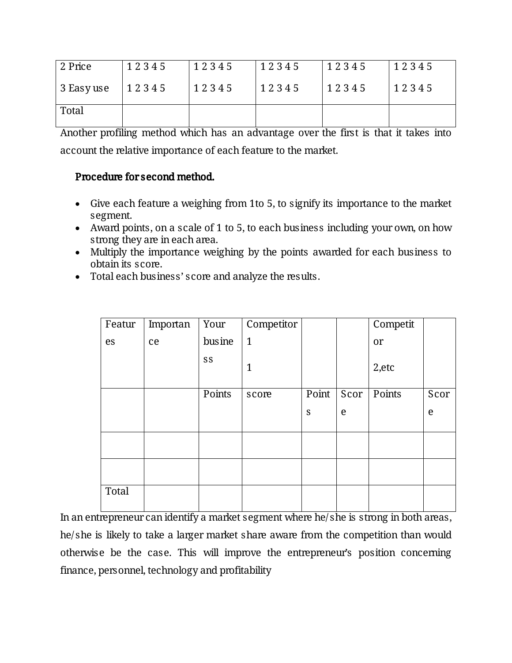| 2 Price    | 12345 | 12345 | 12345 | 12345 | 12345 |
|------------|-------|-------|-------|-------|-------|
| 3 Easy use | 12345 | 12345 | 12345 | 12345 | 12345 |
| Total      |       |       |       |       |       |

Another profiling method which has an advantage over the first is that it takes into account the relative importance of each feature to the market.

#### Procedure for second method.

- Give each feature a weighing from 1 to 5, to signify its importance to the market segment.
- Award points, on a scale of 1 to 5, to each business including your own, on how strong they are in each area.
- Multiply the importance weighing by the points awarded for each business to obtain its score.
- Total each business' score and analyze the results.

| Featur | Importan | Your   | Competitor   |       |      | Competit |      |
|--------|----------|--------|--------------|-------|------|----------|------|
| es     | ce       | busine | $\mathbf{1}$ |       |      | or       |      |
|        |          | SS     | $\mathbf{1}$ |       |      | 2,etc    |      |
|        |          | Points | score        | Point | Scor | Points   | Scor |
|        |          |        |              | S     | e    |          | e    |
|        |          |        |              |       |      |          |      |
|        |          |        |              |       |      |          |      |
|        |          |        |              |       |      |          |      |
| Total  |          |        |              |       |      |          |      |

In an entrepreneur can identify a market segment where he/she is strong in both areas, he/she is likely to take a larger market share aware from the competition than would otherwise be the case. This will improve the entrepreneur's position concerning finance, personnel, technology and profitability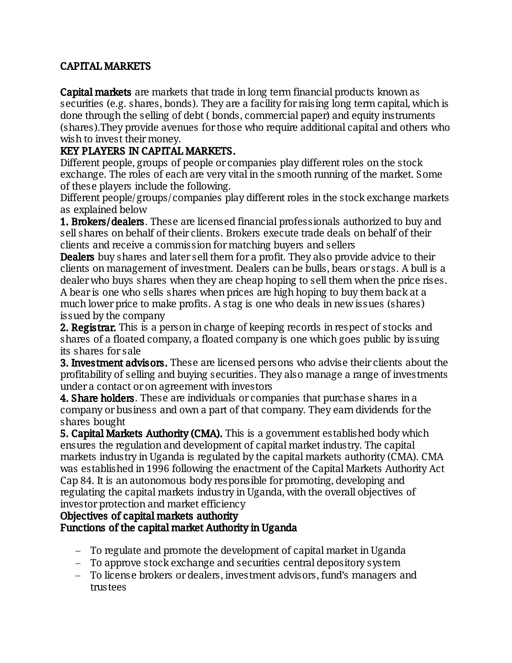### CAPITAL MARKETS

**Capital markets** are markets that trade in long term financial products known as securities (e.g. shares, bonds). They are a facility for raising long term capital, which is done through the selling of debt (bonds, commercial paper) and equity instruments (shares). They provide avenues for those who require additional capital and others who wish to invest their money.

### KEY PLAYERS IN CAPITAL MARKETS.

Different people, groups of people or companies play different roles on the stock exchange. The roles of each are very vital in the smooth running of the market. Some of these players include the following.

Different people/groups/companies play different roles in the stock exchange markets as explained below

**1. Brokers/dealers.** These are licensed financial professionals authorized to buy and sell shares on behalf of their clients. Brokers execute trade deals on behalf of their clients and receive a commission for matching buyers and sellers

**Dealers** buy shares and later sell them for a profit. They also provide advice to their clients on management of investment. Dealers can be bulls, bears or stags. A bull is a dealer who buys shares when they are cheap hoping to sell them when the price rises. A bear is one who sells shares when prices are high hoping to buy them back at a much lower price to make profits. A stag is one who deals in new issues (shares) issued by the company

**2. Registrar.** This is a person in charge of keeping records in respect of stocks and shares of a floated company, a floated company is one which goes public by issuing its shares for sale

**3. Investment advisors.** These are licensed persons who advise their clients about the profitability of selling and buying securities. They also manage a range of investments under a contact or on agreement with investors

**4. Share holders.** These are individuals or companies that purchase shares in a company or business and own a part of that company. They earn dividends for the shares bought

**5. Capital Markets Authority (CMA).** This is a government established body which ensures the regulation and development of capital market industry. The capital markets industry in Uganda is regulated by the capital markets authority (CMA). CMA was established in 1996 following the enactment of the Capital Markets Authority Act Cap 84. It is an autonomous body responsible for promoting, developing and regulating the capital markets industry in Uganda, with the overall objectives of investor protection and market efficiency

Objectives of capital markets authority

#### Functions of the capital market Authority in Uganda

- To regulate and promote the development of capital market in Uganda
- To approve stock exchange and securities central depository system
- To license brokers or dealers, investment advisors, fund's managers and trustees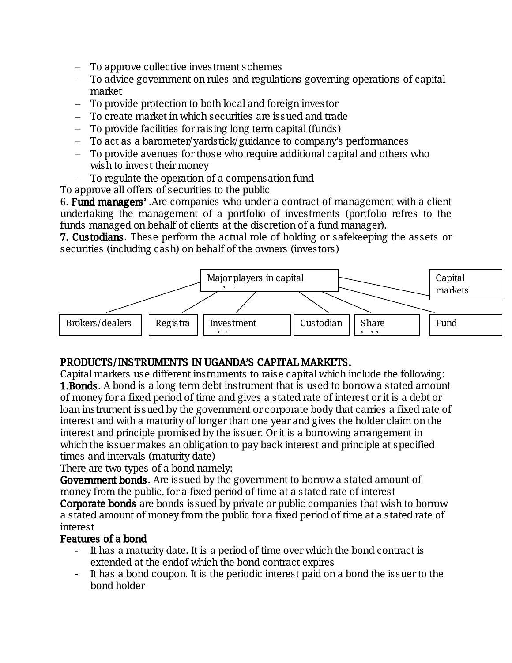- To approve collective investment schemes
- To advice government on rules and regulations governing operations of capital market
- $-$  To provide protection to both local and foreign investor
- To create market in which securities are issued and trade
- To provide facilities for raising long term capital (funds)
- $-$  To act as a barometer/yardstick/guidance to company's performances
- To provide avenues for those who require additional capital and others who wish to invest their money
- $-$  To regulate the operation of a compensation fund
- To approve all offers of securities to the public

6. Fund managers'. Are companies who under a contract of management with a client undertaking the management of a portfolio of investments (portfolio refres to the funds managed on behalf of clients at the discretion of a fund manager).

**7. Custodians.** These perform the actual role of holding or safekeeping the assets or securities (including cash) on behalf of the owners (investors)



#### PRODUCTS/INSTRUMENTS IN UGANDA'S CAPITAL MARKETS.

Capital markets use different instruments to raise capital which include the following: **1.Bonds.** A bond is a long term debt instrument that is used to borrow a stated amount of money for a fixed period of time and gives a stated rate of interest or it is a debt or loan instrument issued by the government or corporate body that carries a fixed rate of interest and with a maturity of longer than one year and gives the holder claim on the interest and principle promised by the issuer. Or it is a borrowing arrangement in which the issuer makes an obligation to pay back interest and principle at specified times and intervals (maturity date)

There are two types of a bond namely:

**Government bonds.** Are issued by the government to borrow a stated amount of money from the public, for a fixed period of time at a stated rate of interest **Corporate bonds** are bonds issued by private or public companies that wish to borrow a stated amount of money from the public for a fixed period of time at a stated rate of interest

#### Features of a bond

- It has a maturity date. It is a period of time over which the bond contract is extended at the endof which the bond contract expires
- It has a bond coupon. It is the periodic interest paid on a bond the issuer to the bond holder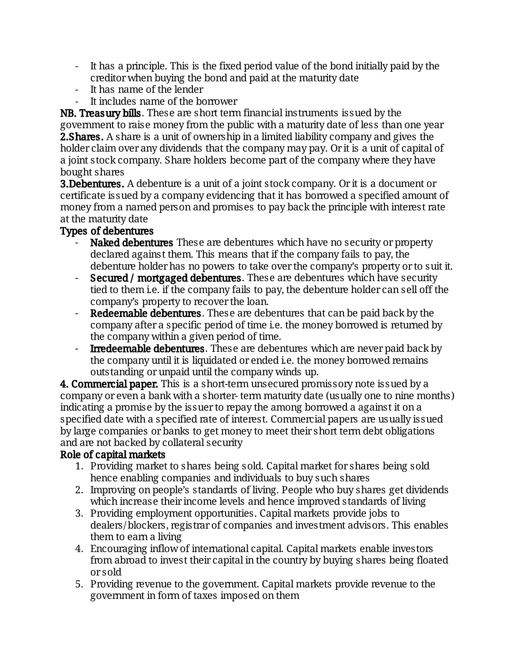- It has a principle. This is the fixed period value of the bond initially paid by the creditor when buying the bond and paid at the maturity date
- It has name of the lender
- It includes name of the borrower

NB. Treasury bills. These are short term financial instruments issued by the government to raise money from the public with a maturity date of less than one year **2.Shares.** A share is a unit of ownership in a limited liability company and gives the holder claim over any dividends that the company may pay. Or it is a unit of capital of a joint stock company. Share holders become part of the company where they have bought shares

**3.Debentures.** A debenture is a unit of a joint stock company. Or it is a document or certificate issued by a company evidencing that it has borrowed a specified amount of money from a named person and promises to pay back the principle with interest rate at the maturity date

### Types of debentures

- Naked debentures These are debentures which have no security or property declared against them. This means that if the company fails to pay, the debenture holder has no powers to take over the company's property or to suit it.
- Secured / mortgaged debentures. These are debentures which have security tied to them i.e. if the company fails to pay, the debenture holder can sell off the company's property to recover the loan.
- Redeemable debentures. These are debentures that can be paid back by the company after a specific period of time i.e. the money borrowed is returned by the company within a given period of time.
- **Irredeemable debentures**. These are debentures which are never paid back by the company until it is liquidated or ended i.e. the money borrowed remains outstanding or unpaid until the company winds up.

**4. Commercial paper.** This is a short-term unsecured promissory note issued by a company or even a bank with a shorter-term maturity date (usually one to nine months) indicating a promise by the issuer to repay the among borrowed a against it on a specified date with a specified rate of interest. Commercial papers are usually issued by large companies or banks to get money to meet their short term debt obligations and are not backed by collateral security

#### Role of capital markets

- 1. Providing market to shares being sold. Capital market for shares being sold hence enabling companies and individuals to buy such shares
- 2. Improving on people's standards of living. People who buy shares get dividends which increase their income levels and hence improved standards of living
- 3. Providing employment opportunities. Capital markets provide jobs to dealers/blockers, registrar of companies and investment advisors. This enables them to earn a living
- 4. Encouraging inflow of international capital. Capital markets enable investors from abroad to invest their capital in the country by buying shares being floated orsold
- 5. Providing revenue to the government. Capital markets provide revenue to the government in form of taxes imposed on them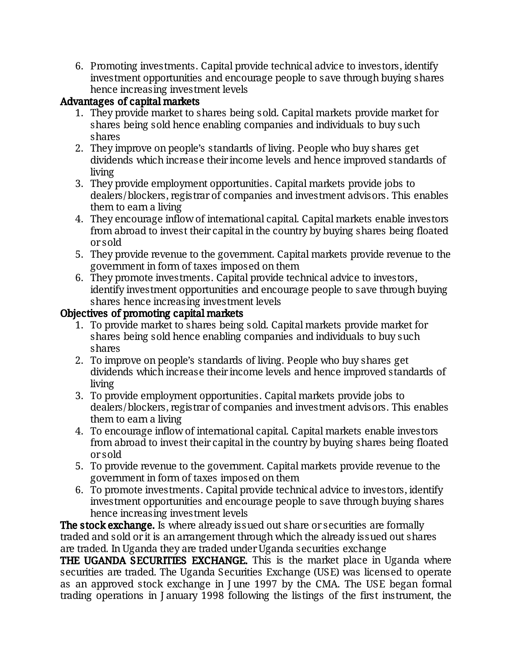6. Promoting investments. Capital provide technical advice to investors, identify investment opportunities and encourage people to save through buying shares hence increasing investment levels

### Advantages of capital markets

- 1. They provide market to shares being sold. Capital markets provide market for shares being sold hence enabling companies and individuals to buy such shares
- 2. They improve on people's standards of living. People who buy shares get dividends which increase their income levels and hence improved standards of living
- 3. They provide employment opportunities. Capital markets provide jobs to dealers/blockers, registrar of companies and investment advisors. This enables them to earn a living
- 4. They encourage inflow of international capital. Capital markets enable investors from abroad to invest their capital in the country by buying shares being floated orsold
- 5. They provide revenue to the government. Capital markets provide revenue to the government in form of taxes imposed on them
- 6. They promote investments. Capital provide technical advice to investors, identify investment opportunities and encourage people to save through buying shares hence increasing investment levels

#### Objectives of promoting capital markets

- 1. To provide market to shares being sold. Capital markets provide market for shares being sold hence enabling companies and individuals to buy such shares
- 2. To improve on people's standards of living. People who buy shares get dividends which increase their income levels and hence improved standards of living
- 3. To provide employment opportunities. Capital markets provide jobs to dealers/blockers, registrar of companies and investment advisors. This enables them to earn a living
- 4. To encourage inflow of international capital. Capital markets enable investors from abroad to invest their capital in the country by buying shares being floated orsold
- 5. To provide revenue to the government. Capital markets provide revenue to the government in form of taxes imposed on them
- 6. To promote investments. Capital provide technical advice to investors, identify investment opportunities and encourage people to save through buying shares hence increasing investment levels

The stock exchange. Is where already issued out share or securities are formally traded and sold or it is an arrangement through which the already issued out shares are traded. In Uganda they are traded under Uganda securities exchange

THE UGANDA SECURITIES EXCHANGE. This is the market place in Uganda where securities are traded. The Uganda Securities Exchange (USE) was licensed to operate as an approved stock exchange in J une 1997 by the CMA. The USE began formal trading operations in January 1998 following the listings of the first instrument, the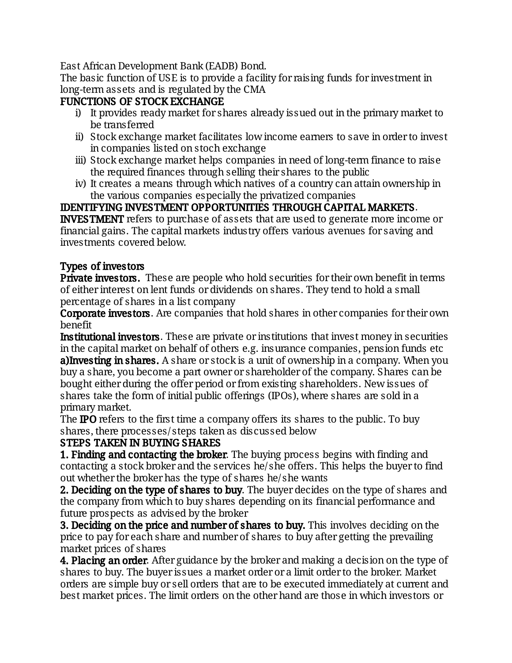East African Development Bank (EADB) Bond.

The basic function of USE is to provide a facility for raising funds for investment in long-term assets and is regulated by the CMA

## FUNCTIONS OF STOCK EXCHANGE

- i) It provides ready market for shares already issued out in the primary market to be transferred
- ii) Stock exchange market facilitates low income earners to save in order to invest in companies listed on stoch exchange
- iii) Stock exchange market helps companies in need of long-term finance to raise the required finances through selling their shares to the public
- iv) It creates a means through which natives of a country can attain ownership in the various companies especially the privatized companies

IDENTIFYING INVESTMENT OPPORTUNITIES THROUGH CAPITAL MARKETS. **INVESTMENT** refers to purchase of assets that are used to generate more income or financial gains. The capital markets industry offers various avenues for saving and investments covered below.

## Types of investors

Private investors. These are people who hold securities for their own benefit in terms of either interest on lent funds or dividends on shares. They tend to hold a small percentage of shares in a list company

**Corporate investors.** Are companies that hold shares in other companies for their own benefit

**Institutional investors.** These are private or institutions that invest money in securities in the capital market on behalf of others e.g. insurance companies, pension funds etc a) Investing in shares. A share or stock is a unit of ownership in a company. When you buy a share, you become a part owner or shareholder of the company. Shares can be bought either during the offer period or from existing shareholders. New issues of shares take the form of initial public offerings (IPOs), where shares are sold in a primarymarket.

The **IPO** refers to the first time a company offers its shares to the public. To buy shares, there processes/steps taken as discussed below

## STEPS TAKEN IN BUYING SHARES

1. Finding and contacting the broker. The buying process begins with finding and contacting a stock broker and the services he/she offers. This helps the buyer to find out whether the broker has the type of shares he/she wants

**2. Deciding on the type of shares to buy.** The buyer decides on the type of shares and the company from which to buy shares depending on its financial performance and future prospects as advised by the broker

**3. Deciding on the price and number of shares to buy.** This involves deciding on the price to pay for each share and number of shares to buy after getting the prevailing market prices of shares

**4. Placing an order.** After guidance by the broker and making a decision on the type of shares to buy. The buyer issues a market order or a limit order to the broker. Market orders are simple buy or sell orders that are to be executed immediately at current and best market prices. The limit orders on the other hand are those in which investors or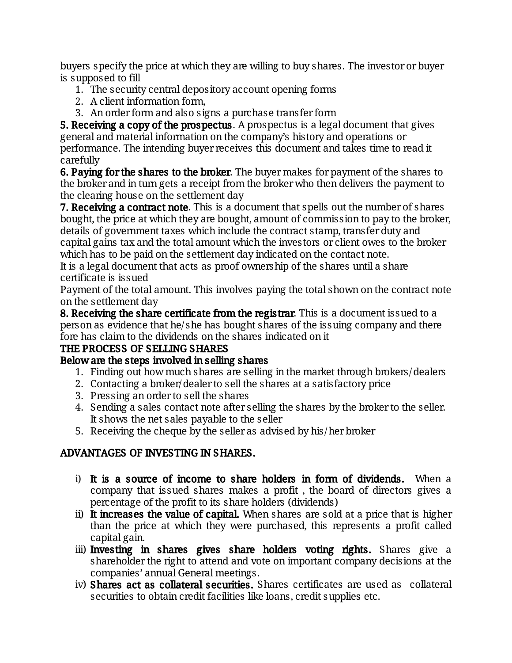buyers specify the price at which they are willing to buy shares. The investor or buyer is supposed to fill

- 1. The security central depository account opening forms
- 2. A client information form,
- 3. An order form and also signs a purchase transfer form

**5. Receiving a copy of the prospectus.** A prospectus is a legal document that gives general and material information on the company's history and operations or performance. The intending buyer receives this document and takes time to read it carefully

6. Paying for the shares to the broker. The buyer makes for payment of the shares to the broker and in turn gets a receipt from the broker who then delivers the payment to the clearing house on the settlement day

7. Receiving a contract note. This is a document that spells out the number of shares bought, the price at which they are bought, amount of commission to pay to the broker, details of government taxes which include the contract stamp, transfer duty and capital gains tax and the total amount which the investors or client owes to the broker which has to be paid on the settlement day indicated on the contact note.

It is a legal document that acts as proof ownership of the shares until a share certificate is issued

Payment of the total amount. This involves paying the total shown on the contract note on the settlement day

8. Receiving the share certificate from the registrar. This is a document issued to a person as evidence that he/she has bought shares of the issuing company and there fore has claim to the dividends on the shares indicated on it

## THE PROCESS OF SELLING SHARES

## Below are the steps involved in selling shares

- 1. Finding out how much shares are selling in the market through brokers/dealers
- 2. Contacting a broker/dealer to sell the shares at a satisfactory price
- 3. Pressing an order to sell the shares
- 4. Sending a sales contact note after selling the shares by the broker to the seller. It shows the net sales payable to the seller
- 5. Receiving the cheque by the seller as advised by his/her broker

## ADVANTAGES OF INVESTING IN SHARES.

- i) It is a source of income to share holders in form of dividends. When a company that issued shares makes a profit, the board of directors gives a percentage of the profit to its share holders (dividends)
- ii) It increases the value of capital. When shares are sold at a price that is higher than the price at which they were purchased, this represents a profit called capital gain.
- iii) Investing in shares gives share holders voting rights. Shares give a shareholder the right to attend and vote on important company decisions at the companies' annual General meetings.
- iv) Shares act as collateral securities. Shares certificates are used as collateral securities to obtain credit facilities like loans, credit supplies etc.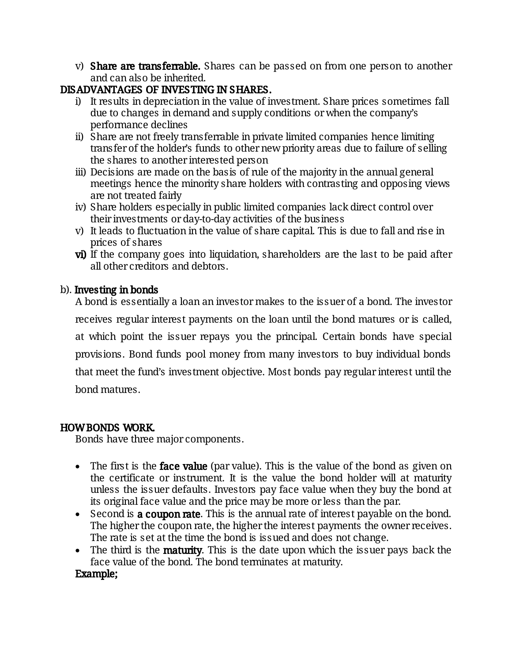v) Share are transferrable. Shares can be passed on from one person to another and can also be inherited.

### DISADVANTAGES OF INVESTING IN SHARES.

- i) It results in depreciation in the value of investment. Share prices sometimes fall due to changes in demand and supply conditions or when the company's performance declines
- ii) Share are not freely transferrable in private limited companies hence limiting transfer of the holder's funds to other new priority areas due to failure of selling the shares to another interested person
- iii) Decisions are made on the basis of rule of the majority in the annual general meetings hence the minority share holders with contrasting and opposing views are not treated fairly
- iv) Share holders especially in public limited companies lack direct control over their investments or day-to-day activities of the business
- v) It leads to fluctuation in the value of share capital. This is due to fall and rise in prices of shares
- vi) If the company goes into liquidation, shareholders are the last to be paid after all other creditors and debtors.

#### b). Investing in bonds

A bond is essentially a loan an investor makes to the issuer of a bond. The investor receives regular interest payments on the loan until the bond matures or is called, at which point the issuer repays you the principal. Certain bonds have special provisions. Bond funds pool money from many investors to buy individual bonds that meet the fund's investment objective. Most bonds pay regular interest until the bond matures.

#### HOW BONDS WORK.

Bonds have three major components.

- The first is the **face value** (par value). This is the value of the bond as given on the certificate or instrument. It is the value the bond holder will at maturity unless the issuer defaults. Investors pay face value when they buy the bond at its original face value and the price may be more or less than the par.
- Second is **a coupon rate**. This is the annual rate of interest payable on the bond. The higher the coupon rate, the higher the interest payments the owner receives. The rate is set at the time the bond is issued and does not change.
- The third is the **maturity**. This is the date upon which the issuer pays back the face value of the bond. The bond terminates at maturity.

#### Example;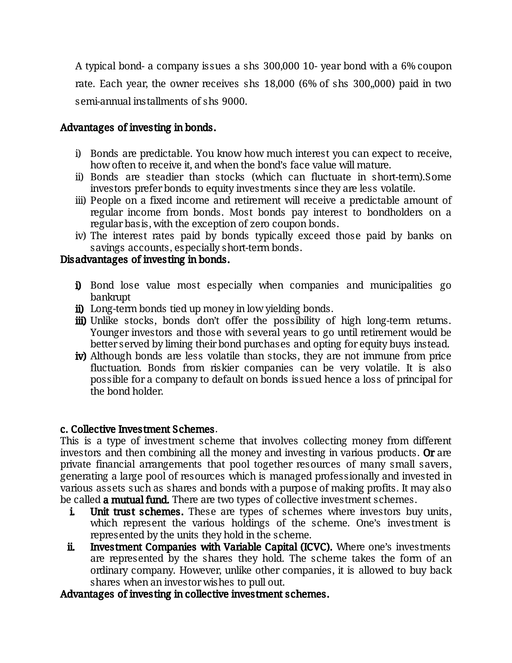A typical bond- a company issues a shs 300,000 10-year bond with a 6% coupon rate. Each year, the owner receives shs  $18,000$  (6% of shs  $300,000$ ) paid in two semi-annual installments of shs 9000.

#### Advantages of investing in bonds.

- i) Bonds are predictable. You know how much interest you can expect to receive, how often to receive it, and when the bond's face value will mature.
- ii) Bonds are steadier than stocks (which can fluctuate in short-term).Some investors prefer bonds to equity investments since they are less volatile.
- iii) People on a fixed income and retirement will receive a predictable amount of regular income from bonds. Most bonds pay interest to bondholders on a regular basis, with the exception of zero coupon bonds.
- iv) The interest rates paid by bonds typically exceed those paid by banks on savings accounts, especially short-term bonds.

#### Disadvantages of investing in bonds.

- i) Bond lose value most especially when companies and municipalities go bankrupt
- ii) Long-term bonds tied up money in low yielding bonds.
- iii) Unlike stocks, bonds don't offer the possibility of high long-term returns. Younger investors and those with several years to go until retirement would be better served by liming their bond purchases and opting for equity buys instead.
- iv) Although bonds are less volatile than stocks, they are not immune from price fluctuation. Bonds from riskier companies can be very volatile. It is also possible for a company to default on bonds issued hence a loss of principal for the bond holder.

#### c. Collective Investment Schemes.

This is a type of investment scheme that involves collecting money from different investors and then combining all the money and investing in various products. Or are private financial arrangements that pool together resources of many small savers, generating a large pool of resources which is managed professionally and invested in various assets such as shares and bonds with a purpose of making profits. It may also be called **a mutual fund.** There are two types of collective investment schemes.

- i. Unit trust schemes. These are types of schemes where investors buy units, which represent the various holdings of the scheme. One's investment is represented by the units they hold in the scheme.
- ii. Investment Companies with Variable Capital (ICVC). Where one's investments are represented by the shares they hold. The scheme takes the form of an ordinary company. However, unlike other companies, it is allowed to buy back shares when an investor wishes to pull out.

#### Advantages of investing in collective investment schemes.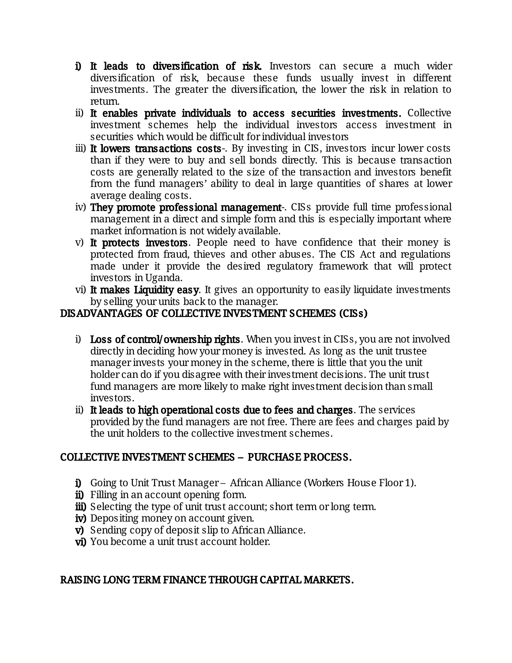- i) It leads to diversification of risk. Investors can secure a much wider diversification of risk, because these funds usually invest in different investments. The greater the diversification, the lower the risk in relation to return.
- ii) It enables private individuals to access securities investments. Collective investment schemes help the individual investors access investment in securities which would be difficult for individual investors
- iii) It lowers transactions costs-. By investing in CIS, investors incur lower costs than if they were to buy and sell bonds directly. This is because transaction costs are generally related to the size of the transaction and investors benefit from the fund managers' ability to deal in large quantities of shares at lower average dealing costs.
- iv) They promote professional management-. CISs provide full time professional management in a direct and simple form and this is especially important where market information is not widely available.
- v) It protects investors. People need to have confidence that their money is protected from fraud, thieves and other abuses. The CIS Act and regulations made under it provide the desired regulatory framework that will protect investors in Uganda.
- vi) It makes Liquidity easy. It gives an opportunity to easily liquidate investments by selling your units back to the manager.

### DISADVANTAGES OF COLLECTIVE INVESTMENT SCHEMES (CISs)

- i) Loss of control/ownership rights. When you invest in CISs, you are not involved directly in deciding how your money is invested. As long as the unit trustee manager invests your money in the scheme, there is little that you the unit holder can do if you disagree with their investment decisions. The unit trust fund managers are more likely to make right investment decision than small investors.
- ii) It leads to high operational costs due to fees and charges. The services provided by the fund managers are not free. There are fees and charges paid by the unit holders to the collective investment schemes.

## COLLECTIVE INVESTMENT SCHEMES - PURCHASE PROCESS.

- i) Going to Unit Trust Manager African Alliance (Workers House Floor 1).
- ii) Filling in an account opening form.
- iii) Selecting the type of unit trust account; short term or long term.
- iv) Depositing money on account given.
- $\vec{v}$ ) Sending copy of deposit slip to African Alliance.
- vi) You become a unit trust account holder.

#### RAISING LONG TERM FINANCE THROUGH CAPITAL MARKETS.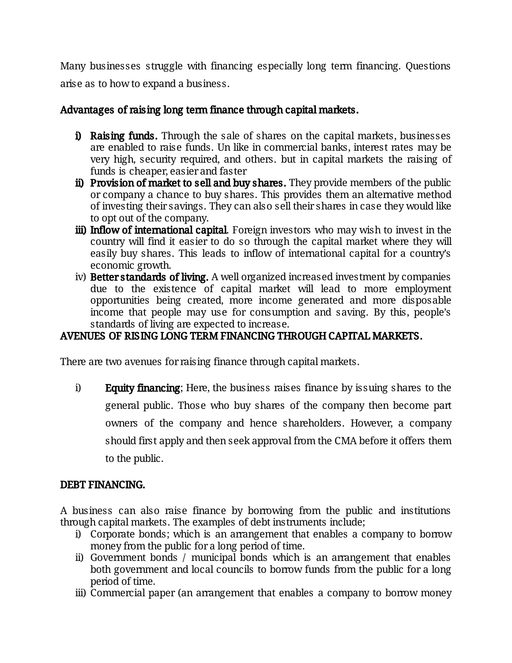Many businesses struggle with financing especially long term financing. Questions arise as to how to expand a business.

### Advantages of raising long term finance through capital markets.

- i) Raising funds. Through the sale of shares on the capital markets, businesses are enabled to raise funds. Un like in commercial banks, interest rates may be very high, security required, and others. but in capital markets the raising of funds is cheaper, easier and faster
- ii) Provision of market to sell and buy shares. They provide members of the public or company a chance to buy shares. This provides them an alternative method of investing their savings. They can also sell their shares in case they would like to opt out of the company.
- iii) Inflow of international capital. Foreign investors who may wish to invest in the country will find it easier to do so through the capital market where they will easily buy shares. This leads to inflow of international capital for a country's economic growth.
- iv) Better standards of living. A well organized increased investment by companies due to the existence of capital market will lead to more employment opportunities being created, more income generated and more disposable income that people may use for consumption and saving. By this, people's standards of living are expected to increase.

### AVENUES OF RISING LONG TERM FINANCING THROUGH CAPITAL MARKETS.

There are two avenues for raising finance through capital markets.

i) Equity financing; Here, the business raises finance by issuing shares to the general public. Those who buy shares of the company then become part owners of the company and hence shareholders. However, a company should first apply and then seek approval from the CMA before it offers them to the public.

#### DEBT FINANCING.

A business can also raise finance by borrowing from the public and institutions through capital markets. The examples of debt instruments include;

- i) Corporate bonds; which is an arrangement that enables a company to borrow money from the public for a long period of time.
- ii) Government bonds / municipal bonds which is an arrangement that enables both government and local councils to borrow funds from the public for a long period of time.
- iii) Commercial paper (an arrangement that enables a company to borrow money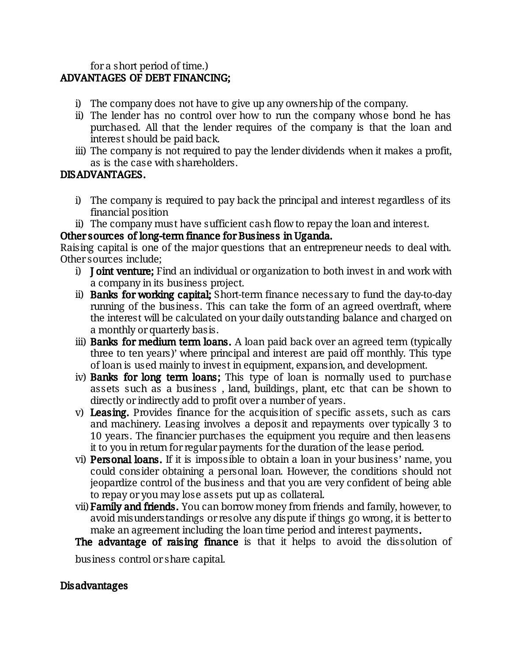#### for a short period of time.) ADVANTAGES OF DEBT FINANCING;

- i) The company does not have to give up any ownership of the company.
- ii) The lender has no control over how to run the company whose bond he has purchased. All that the lender requires of the company is that the loan and interest should be paid back.
- iii) The company is not required to pay the lender dividends when it makes a profit, as is the case with shareholders.

### DISADVANTAGES.

- i) The company is required to pay back the principal and interest regardless of its financial position
- ii) The company must have sufficient cash flow to repay the loan and interest.

Other sources of long-term finance for Business in Uganda.

Raising capital is one of the major questions that an entrepreneur needs to deal with. Other sources include;

- i) **Joint venture;** Find an individual or organization to both invest in and work with a company in its business project.
- ii) Banks for working capital; Short-term finance necessary to fund the day-to-day running of the business. This can take the form of an agreed overdraft, where the interest will be calculated on your daily outstanding balance and charged on a monthly or quarterly bas is.
- iii) Banks for medium term loans. A loan paid back over an agreed term (typically three to ten years)' where principal and interest are paid off monthly. This type of loan is used mainly to invest in equipment, expansion, and development.
- iv) Banks for long term loans; This type of loan is normally used to purchase assets such as a business, land, buildings, plant, etc that can be shown to directly or indirectly add to profit over a number of years.
- v) Leasing. Provides finance for the acquisition of specific assets, such as cars and machinery. Leasing involves a deposit and repayments over typically 3 to 10 years. The financier purchases the equipment you require and then leasens it to you in return for regular payments for the duration of the lease period.
- vi) Personal loans. If it is impossible to obtain a loan in your business' name, you could consider obtaining a personal loan. However, the conditions should not jeopardize control of the business and that you are very confident of being able to repay or you may lose assets put up as collateral.
- vii) Family and friends. You can borrow money from friends and family, however, to avoid misunderstandings or resolve any dispute if things go wrong, it is better to make an agreement including the loan time period and interest payments.
- The advantage of raising finance is that it helps to avoid the dissolution of

business control or share capital.

#### Disadvantages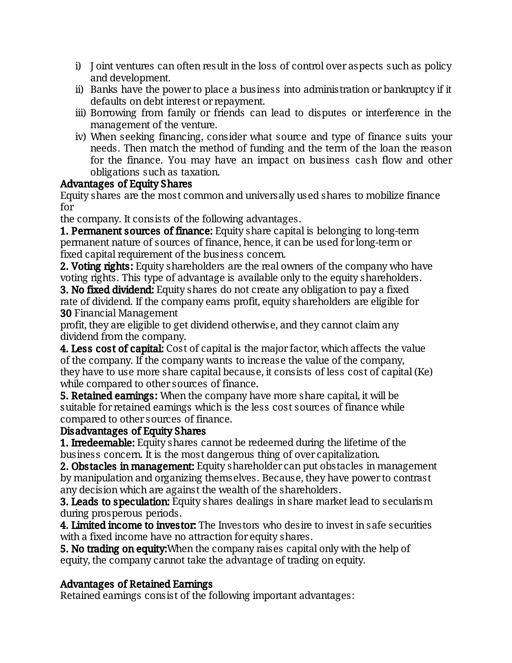- i) Joint ventures can often result in the loss of control over aspects such as policy and development.
- ii) Banks have the power to place a business into administration or bankruptcy if it defaults on debt interest or repayment.
- iii) Borrowing from family or friends can lead to disputes or interference in the management of the venture.
- iv) When seeking financing, consider what source and type of finance suits your needs. Then match the method of funding and the term of the loan the reason for the finance. You may have an impact on business cash flow and other obligations such as taxation.

### Advantages of Equity Shares

Equity shares are the most common and universally used shares to mobilize finance for

the company. It consists of the following advantages.

**1. Permanent sources of finance:** Equity share capital is belonging to long-term permanent nature of sources of finance, hence, it can be used for long-term or fixed capital requirement of the business concern.

**2. Voting rights:** Equity shareholders are the real owners of the company who have voting rights. This type of advantage is available only to the equity shareholders.

**3. No fixed dividend:** Equity shares do not create any obligation to pay a fixed rate of dividend. If the company earns profit, equity shareholders are eligible for **30 Financial Management** 

profit, they are eligible to get dividend otherwise, and they cannot claim any dividend from the company.

**4. Less cost of capital:** Cost of capital is the major factor, which affects the value of the company. If the company wants to increase the value of the company, they have to use more share capital because, it consists of less cost of capital (Ke) while compared to other sources of finance.

**5. Retained earnings:** When the company have more share capital, it will be suitable for retained earnings which is the less cost sources of finance while compared to other sources of finance.

#### Disadvantages of Equity Shares

**1. Irredeemable:** Equity shares cannot be redeemed during the lifetime of the business concern. It is the most dangerous thing of over capitalization.

2. Obstacles in management: Equity shareholder can put obstacles in management by manipulation and organizing themselves. Because, they have power to contrast any decision which are against the wealth of the shareholders.

**3. Leads to speculation:** Equity shares dealings in share market lead to secularism during prosperous periods.

**4. Limited income to investor:** The Investors who desire to invest in safe securities with a fixed income have no attraction for equity shares.

**5. No trading on equity:** When the company raises capital only with the help of equity, the company cannot take the advantage of trading on equity.

## Advantages of Retained Earnings

Retained earnings consist of the following important advantages: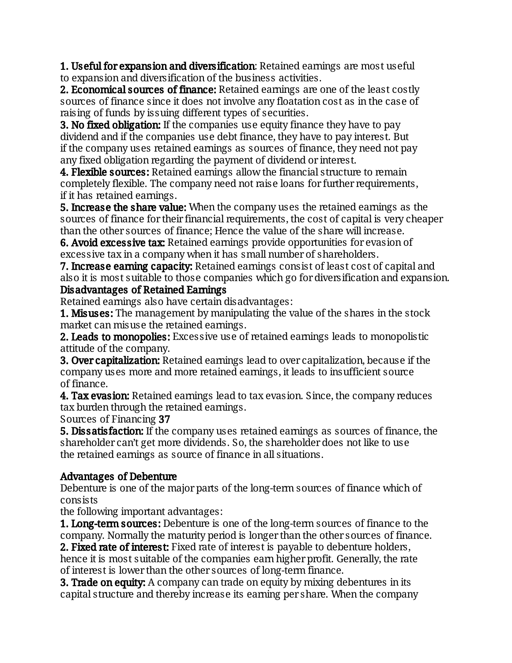**1. Useful for expansion and diversification:** Retained earnings are most useful to expansion and diversification of the business activities.

2. Economical sources of finance: Retained earnings are one of the least costly sources of finance since it does not involve any floatation cost as in the case of raising of funds by issuing different types of securities.

**3. No fixed obligation:** If the companies use equity finance they have to pay dividend and if the companies use debt finance, they have to pay interest. But if the company uses retained earnings as sources of finance, they need not pay any fixed obligation regarding the payment of dividend or interest.

4. Flexible sources: Retained earnings allow the financial structure to remain completely flexible. The company need not raise loans for further requirements, if it has retained earnings.

5. Increase the share value: When the company uses the retained earnings as the sources of finance for their financial requirements, the cost of capital is very cheaper than the other sources of finance; Hence the value of the share will increase.

6. Avoid excessive tax: Retained earnings provide opportunities for evasion of excessive tax in a company when it has small number of shareholders.

**7. Increase earning capacity:** Retained earnings consist of least cost of capital and also it is most suitable to those companies which go for diversification and expansion. Disadvantages of Retained Earnings

Retained earnings also have certain disadvantages:

**1. Misuses:** The management by manipulating the value of the shares in the stock market can misuse the retained earnings.

2. Leads to monopolies: Excessive use of retained earnings leads to monopolistic attitude of the company.

**3. Over capitalization:** Retained earnings lead to over capitalization, because if the company uses more and more retained earnings, it leads to insufficient source of finance.

**4. Tax evasion:** Retained earnings lead to tax evasion. Since, the company reduces tax burden through the retained earnings.

Sources of Financing 37

**5. Dissatisfaction:** If the company uses retained earnings as sources of finance, the shareholder can't get more dividends. So, the shareholder does not like to use the retained earnings as source of finance in all situations.

## Advantages of Debenture

Debenture is one of the major parts of the long-term sources of finance which of consists

the following important advantages:

**1. Long-term sources:** Debenture is one of the long-term sources of finance to the company. Normally the maturity period is longer than the other sources of finance.

2. Fixed rate of interest: Fixed rate of interest is payable to debenture holders, hence it is most suitable of the companies earn higher profit. Generally, the rate of interest is lower than the other sources of long-term finance.

**3. Trade on equity:** A company can trade on equity by mixing debentures in its capital structure and thereby increase its earning per share. When the company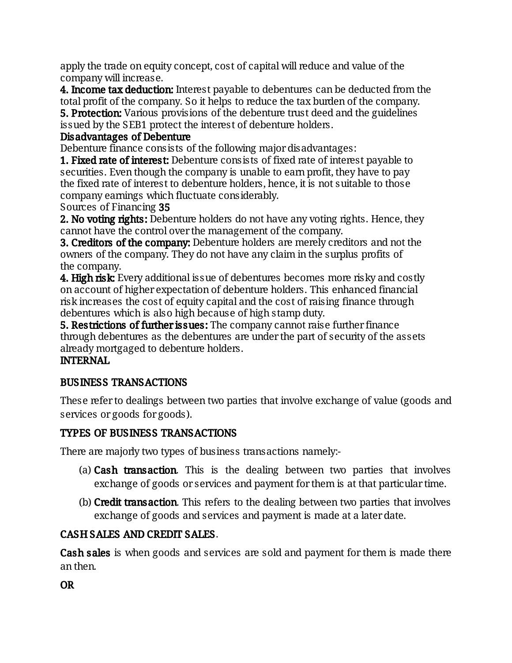apply the trade on equity concept, cost of capital will reduce and value of the company will increase.

**4. Income tax deduction:** Interest payable to debentures can be deducted from the total profit of the company. So it helps to reduce the tax burden of the company.

**5. Protection:** Various provisions of the debenture trust deed and the guidelines issued by the SEB1 protect the interest of debenture holders.

### Disadvantages of Debenture

Debenture finance consists of the following major disadvantages:

**1. Fixed rate of interest:** Debenture consists of fixed rate of interest payable to securities. Even though the company is unable to earn profit, they have to pay the fixed rate of interest to debenture holders, hence, it is not suitable to those company earnings which fluctuate considerably.

Sources of Financing 35

**2. No voting rights:** Debenture holders do not have any voting rights. Hence, they cannot have the control over the management of the company.

**3. Creditors of the company:** Debenture holders are merely creditors and not the owners of the company. They do not have any claim in the surplus profits of the company.

**4. High risk:** Every additional issue of debentures becomes more risky and costly on account of higher expectation of debenture holders. This enhanced financial risk increases the cost of equity capital and the cost of raising finance through debentures which is also high because of high stamp duty.

5. Restrictions of further issues: The company cannot raise further finance through debentures as the debentures are under the part of security of the assets already mortgaged to debenture holders.

### **INTERNAL**

#### BUSINESSTRANSACTIONS

These refer to dealings between two parties that involve exchange of value (goods and services or goods for goods).

#### TYPES OF BUSINESS TRANSACTIONS

There are majorly two types of business transactions namely:-

- (a)  $Cash$  transaction. This is the dealing between two parties that involves exchange of goods or services and payment for them is at that particular time.
- (b) **Credit transaction.** This refers to the dealing between two parties that involves exchange of goods and services and payment is made at a later date.

## CASH SALES AND CREDIT SALES.

**Cash sales** is when goods and services are sold and payment for them is made there anthen.

OR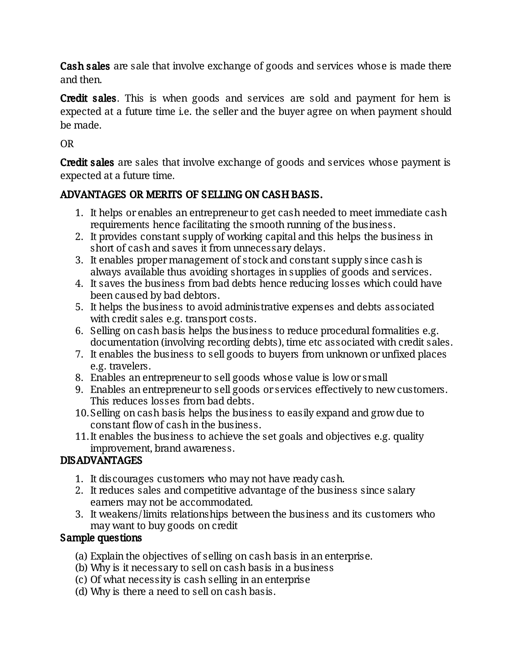**Cash sales** are sale that involve exchange of goods and services whose is made there and then.

**Credit sales.** This is when goods and services are sold and payment for hem is expected at a future time i.e. the seller and the buyer agree on when payment should be made.

OR

**Credit sales** are sales that involve exchange of goods and services whose payment is expected at a future time.

# ADVANTAGES OR MERITS OF SELLING ON CASH BASIS.

- 1. It helps or enables an entrepreneur to get cash needed to meet immediate cash requirements hence facilitating the smooth running of the business.
- 2. It provides constant supply of working capital and this helps the business in short of cash and saves it from unnecessary delays.
- 3. It enables proper management of stock and constant supply since cash is always available thus avoiding shortages in supplies of goods and services.
- 4. It saves the business from bad debts hence reducing losses which could have been caused by bad debtors.
- 5. It helps the business to avoid administrative expenses and debts associated with credit sales e.g. transport costs.
- 6. Selling on cash basis helps the business to reduce procedural formalities e.g. documentation (involving recording debts), time etc associated with credit sales.
- 7. It enables the business to sell goods to buyers from unknown or unfixed places e.g. travelers.
- 8. Enables an entrepreneur to sell goods whose value is low or small
- 9. Enables an entrepreneur to sell goods or services effectively to new customers. This reduces losses from bad debts.
- 10. Selling on cash basis helps the business to easily expand and grow due to constant flow of cash in the business.
- 11. It enables the business to achieve the set goals and objectives e.g. quality improvement, brand awareness.

# DISADVANTAGES

- 1. It discourages customers who may not have ready cash.
- 2. It reduces sales and competitive advantage of the business since salary earners may not be accommodated.
- 3. It weakens/limits relationships between the business and its customers who may want to buy goods on credit

## Sample questions

- (a) Explain the objectives of selling on cash basis in an enterprise.
- (b) Why is it necessary to sell on cash basis in a business
- (c) Of what necessity is cash selling in an enterprise
- (d) Why is there a need to sell on cash basis.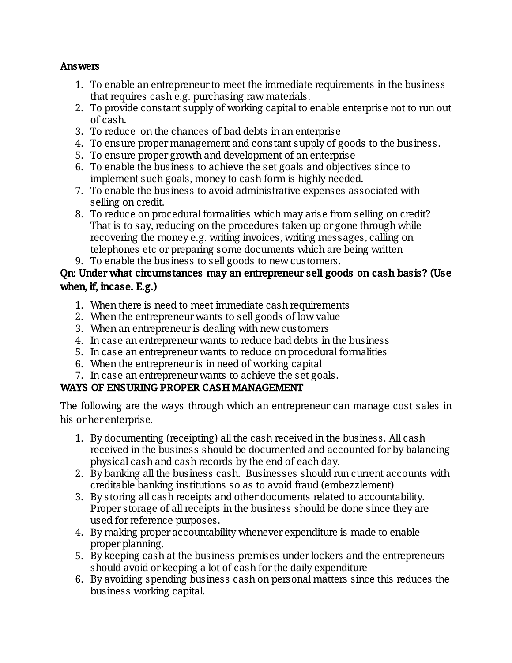#### Answers

- 1. To enable an entrepreneur to meet the immediate requirements in the business that requires cash e.g. purchasing raw materials.
- 2. To provide constant supply of working capital to enable enterprise not to run out of cash.
- 3. To reduce on the chances of bad debts in an enterprise
- 4. To ensure proper management and constant supply of goods to the business.
- 5. To ensure proper growth and development of an enterprise
- 6. To enable the business to achieve the set goals and objectives since to implement such goals, money to cash form is highly needed.
- 7. To enable the business to avoid administrative expenses associated with selling on credit.
- 8. To reduce on procedural formalities which may arise from selling on credit? That is to say, reducing on the procedures taken up or gone through while recovering the money e.g. writing invoices, writing messages, calling on telephones etc or preparing some documents which are being written
- 9. To enable the business to sell goods to new customers.

### Qn: Under what circumstances may an entrepreneur sell goods on cash basis? (Use when, if, incase. E.g.)

- 1. When there is need to meet immediate cash requirements
- 2. When the entrepreneur wants to sell goods of low value
- 3. When an entrepreneur is dealing with new customers
- 4. In case an entrepreneur wants to reduce bad debts in the business
- 5. In case an entrepreneur wants to reduce on procedural formalities
- 6. When the entrepreneur is in need of working capital
- 7. In case an entrepreneur wants to achieve the set goals.

## WAYS OF ENSURING PROPER CASH MANAGEMENT

The following are the ways through which an entrepreneur can manage cost sales in his or her enterprise.

- 1. By documenting (receipting) all the cash received in the business. All cash received in the business should be documented and accounted for by balancing physical cash and cash records by the end of each day.
- 2. By banking all the business cash. Businesses should run current accounts with creditable banking institutions so as to avoid fraud (embezzlement)
- 3. By storing all cash receipts and other documents related to accountability. Proper storage of all receipts in the business should be done since they are used for reference purposes.
- 4. By making proper accountability whenever expenditure is made to enable proper planning.
- 5. By keeping cash at the business premises under lockers and the entrepreneurs should avoid or keeping a lot of cash for the daily expenditure
- 6. By avoiding spending business cash on personal matters since this reduces the business working capital.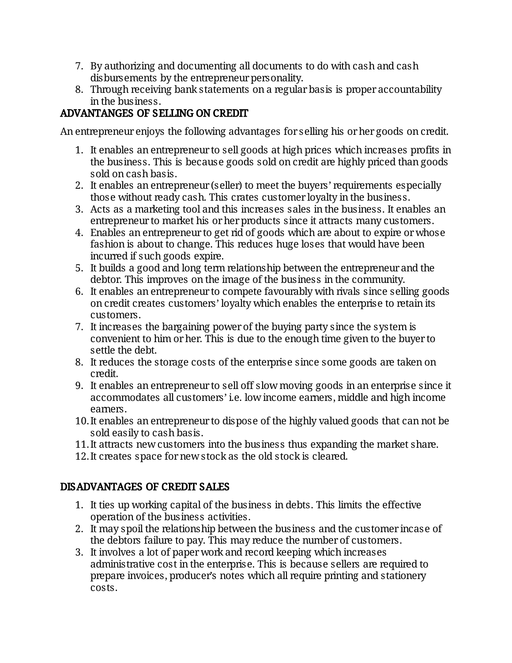- 7. By authorizing and documenting all documents to do with cash and cash disbursements by the entrepreneur personality.
- 8. Through receiving bank statements on a regular basis is proper accountability in the business.

# ADVANTANGES OF SELLING ON CREDIT

An entrepreneur enjoys the following advantages for selling his or her goods on credit.

- 1. It enables an entrepreneur to sell goods at high prices which increases profits in the business. This is because goods sold on credit are highly priced than goods soldoncashbasis.
- 2. It enables an entrepreneur (seller) to meet the buyers' requirements especially those without ready cash. This crates customer loyalty in the business.
- 3. Acts as a marketing tool and this increases sales in the business. It enables an entrepreneur to market his or her products since it attracts many customers.
- 4. Enables an entrepreneur to get rid of goods which are about to expire or whose fashion is about to change. This reduces huge loses that would have been incurred if such goods expire.
- 5. It builds a good and long term relationship between the entrepreneur and the debtor. This improves on the image of the business in the community.
- 6. It enables an entrepreneur to compete favourably with rivals since selling goods on credit creates customers' loyalty which enables the enterprise to retain its customers.
- 7. It increases the bargaining power of the buying party since the system is convenient to him or her. This is due to the enough time given to the buyer to settle the debt.
- 8. It reduces the storage costs of the enterprise since some goods are taken on credit.
- 9. It enables an entrepreneur to sell off slow moving goods in an enterprise since it accommodates all customers' i.e. low income earners, middle and high income earners.
- 10. It enables an entrepreneur to dispose of the highly valued goods that can not be sold easily to cash basis.
- 11. It attracts new customers into the business thus expanding the market share.
- 12. It creates space for new stock as the old stock is cleared.

## DISADVANTAGES OF CREDIT SALES

- 1. It ties up working capital of the business in debts. This limits the effective operation of the business activities.
- 2. It may spoil the relationship between the business and the customer incase of the debtors failure to pay. This may reduce the number of customers.
- 3. It involves a lot of paper work and record keeping which increases administrative cost in the enterprise. This is because sellers are required to prepare invoices, producer's notes which all require printing and stationery costs.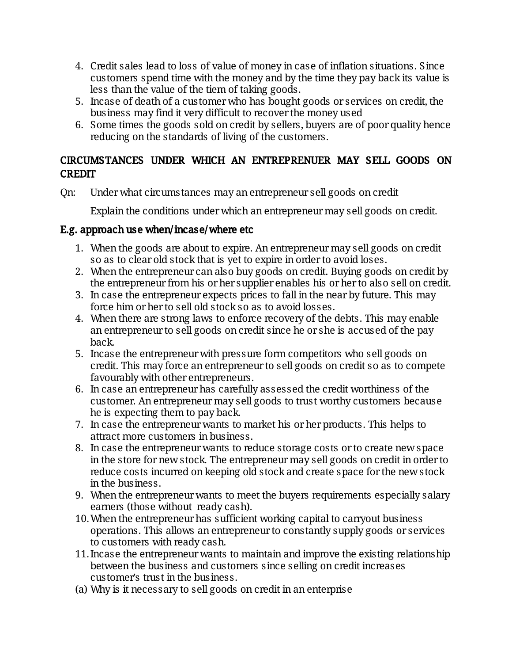- 4. Credit sales lead to loss of value of money in case of inflation situations. Since customers spend time with the money and by the time they pay back its value is less than the value of the tiem of taking goods.
- 5. Incase of death of a customer who has bought goods or services on credit, the business may find it very difficult to recover the money used
- 6. Some times the goods sold on credit by sellers, buyers are of poor quality hence reducing on the standards of living of the customers.

### CIRCUMSTANCES UNDER WHICH AN ENTREPRENUER MAY SELL GOODS ON **CREDIT**

Qn: Under what circumstances may an entrepreneur sell goods on credit

Explain the conditions under which an entrepreneur may sell goods on credit.

### E.g. approach use when/incase/where etc

- 1. When the goods are about to expire. An entrepreneur may sell goods on credit so as to clear old stock that is yet to expire in order to avoid loses.
- 2. When the entrepreneur can also buy goods on credit. Buying goods on credit by the entrepreneur from his or her supplier enables his or her to also sell on credit.
- 3. In case the entrepreneur expects prices to fall in the near by future. This may force him or her to sell old stock so as to avoid losses.
- 4. When there are strong laws to enforce recovery of the debts. This may enable an entrepreneur to sell goods on credit since he or she is accused of the pay back.
- 5. Incase the entrepreneur with pressure form competitors who sell goods on credit. This may force an entrepreneur to sell goods on credit so as to compete favourably with other entrepreneurs.
- 6. In case an entrepreneur has carefully assessed the credit worthiness of the customer. An entrepreneur may sell goods to trust worthy customers because he is expecting them to pay back.
- 7. In case the entrepreneur wants to market his or her products. This helps to attract more customers in business.
- 8. In case the entrepreneur wants to reduce storage costs or to create new space in the store for new stock. The entrepreneur may sell goods on credit in order to reduce costs incurred on keeping old stock and create space for the new stock in the business.
- 9. When the entrepreneur wants to meet the buyers requirements especially salary earners (those without ready cash).
- 10. When the entrepreneur has sufficient working capital to carryout business operations. This allows an entrepreneur to constantly supply goods or services to customers with ready cash.
- 11. Incase the entrepreneur wants to maintain and improve the existing relationship between the business and customers since selling on credit increases customer's trust in the business.
- (a) Why is it necessary to sell goods on credit in an enterprise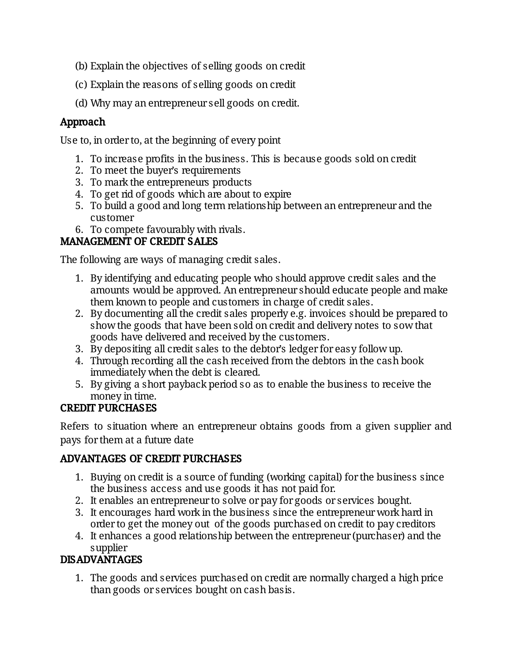- (b) Explain the objectives of selling goods on credit
- (c)Explainthereasonsofsellinggoodsoncredit
- (d) Why may an entrepreneur sell goods on credit.

# Approach

Use to, in order to, at the beginning of every point

- 1. To increase profits in the business. This is because goods sold on credit
- 2. To meet the buyer's requirements
- 3. To mark the entrepreneurs products
- 4. To get rid of goods which are about to expire
- 5. To build a good and long term relationship between an entrepreneur and the customer
- 6. To compete favourably with rivals.

# MANAGEMENT OF CREDIT SALES

The following are ways of managing credit sales.

- 1. By identifying and educating people who should approve credit sales and the amounts would be approved. An entrepreneur should educate people and make them known to people and customers in charge of credit sales.
- 2. By documenting all the credit sales properly e.g. invoices should be prepared to show the goods that have been sold on credit and delivery notes to sow that goods have delivered and received by the customers.
- 3. By depositing all credit sales to the debtor's ledger for easy follow up.
- 4. Through recording all the cash received from the debtors in the cash book immediately when the debt is cleared.
- 5. By giving a short payback period so as to enable the business to receive the money in time.

# **CREDIT PURCHASES**

Refers to situation where an entrepreneur obtains goods from a given supplier and pays for them at a future date

## ADVANTAGES OF CREDIT PURCHASES

- 1. Buying on credit is a source of funding (working capital) for the business since the business access and use goods it has not paid for.
- 2. It enables an entrepreneur to solve or pay for goods or services bought.
- 3. It encourages hard work in the business since the entrepreneur work hard in order to get the money out of the goods purchased on credit to pay creditors
- 4. It enhances a good relationship between the entrepreneur (purchaser) and the supplier

# DISADVANTAGES

1. The goods and services purchased on credit are normally charged a high price than goods or services bought on cash basis.